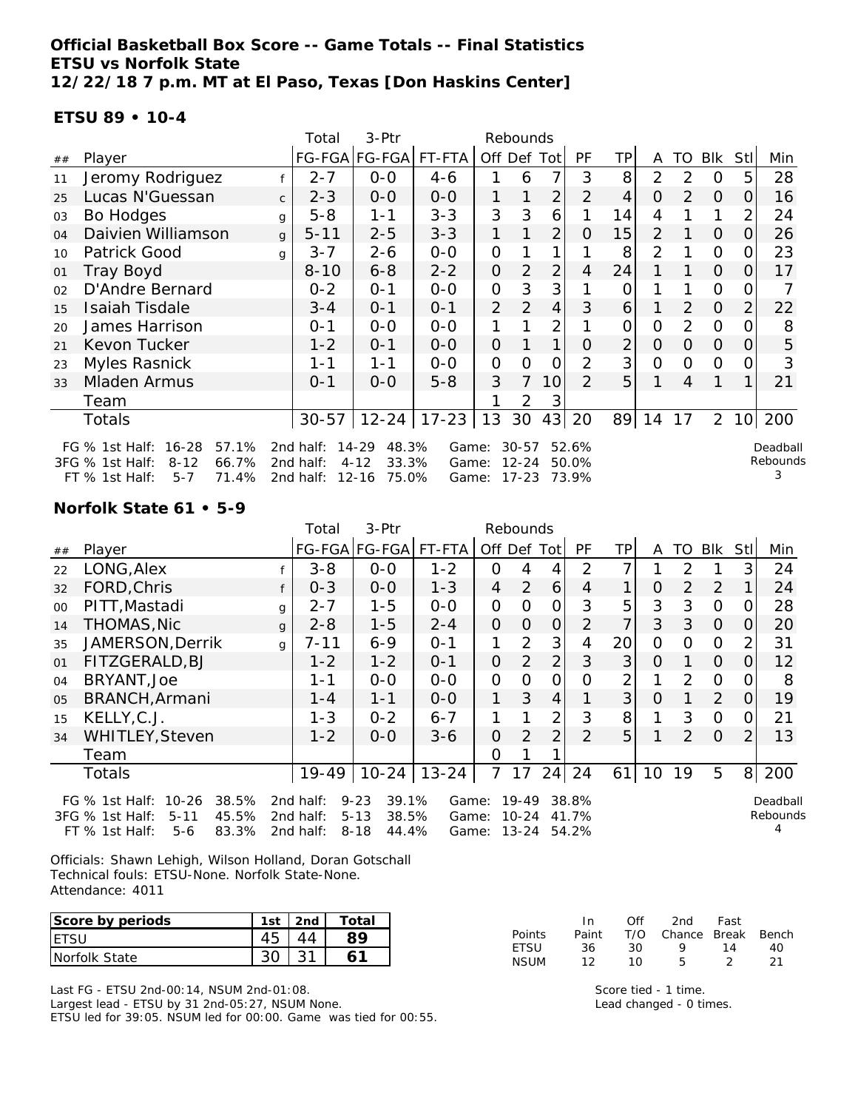**Official Basketball Box Score -- Game Totals -- Final Statistics ETSU vs Norfolk State 12/22/18 7 p.m. MT at El Paso, Texas [Don Haskins Center]**

#### **ETSU 89 • 10-4**

|    |                                                                                                                                                                                                                                                                                                                                                        |              | Total     | 3-Ptr                |           |                | Rebounds       |                |                |                |                |                |                |                 |     |
|----|--------------------------------------------------------------------------------------------------------------------------------------------------------------------------------------------------------------------------------------------------------------------------------------------------------------------------------------------------------|--------------|-----------|----------------------|-----------|----------------|----------------|----------------|----------------|----------------|----------------|----------------|----------------|-----------------|-----|
| ## | Player                                                                                                                                                                                                                                                                                                                                                 |              |           | FG-FGA FG-FGA FT-FTA |           | Off Def        |                | Tot            | PF             | TP             | A              | TO             | <b>BIK</b>     | StII            | Min |
| 11 | Jeromy Rodriguez                                                                                                                                                                                                                                                                                                                                       |              | $2 - 7$   | $0-0$                | 4-6       |                | 6              | 7              | 3              | 8              | $\overline{2}$ | 2              | 0              | 5.              | 28  |
| 25 | Lucas N'Guessan                                                                                                                                                                                                                                                                                                                                        | $\mathsf{C}$ | $2 - 3$   | $0-0$                | $0-0$     |                |                | $\overline{2}$ | $\overline{2}$ | 4              | 0              | 2              | $\Omega$       | 0               | 16  |
| 03 | Bo Hodges                                                                                                                                                                                                                                                                                                                                              | g            | $5 - 8$   | $1 - 1$              | $3 - 3$   | 3              | 3              | 6              |                | 14             | 4              |                |                | 2               | 24  |
| 04 | Daivien Williamson                                                                                                                                                                                                                                                                                                                                     | g            | $5 - 11$  | $2 - 5$              | $3 - 3$   | 1              |                | $\overline{2}$ | 0              | 15             | $\overline{2}$ |                | $\Omega$       | 0               | 26  |
| 10 | Patrick Good                                                                                                                                                                                                                                                                                                                                           | q            | $3 - 7$   | $2 - 6$              | $0-0$     | 0              |                | 1              |                | 8              | $\overline{2}$ |                | $\mathcal{O}$  | Ω               | 23  |
| 01 | Tray Boyd                                                                                                                                                                                                                                                                                                                                              |              | $8 - 10$  | $6 - 8$              | $2 - 2$   | $\mathbf 0$    | 2              | $\overline{2}$ | 4              | 24             |                |                | $\Omega$       | 0               | 17  |
| 02 | D'Andre Bernard                                                                                                                                                                                                                                                                                                                                        |              | $0 - 2$   | $0 - 1$              | $0 - 0$   | 0              | 3              | 3              |                |                |                |                | $\overline{O}$ |                 |     |
| 15 | <b>Isaiah Tisdale</b>                                                                                                                                                                                                                                                                                                                                  |              | $3 - 4$   | $0 - 1$              | $0 - 1$   | $\overline{2}$ | 2              | $\overline{4}$ | 3              | 6              |                | 2              | $\overline{O}$ | 2               | 22  |
| 20 | James Harrison                                                                                                                                                                                                                                                                                                                                         |              | $0 - 1$   | $0 - 0$              | $0 - 0$   |                |                | $\overline{2}$ |                | 0              | 0              | $\overline{2}$ | $\Omega$       |                 | 8   |
| 21 | Kevon Tucker                                                                                                                                                                                                                                                                                                                                           |              | $1 - 2$   | $0 - 1$              | $O-O$     | 0              |                | 1              | O              | $\overline{2}$ | 0              | 0              | $\Omega$       | $\Omega$        | 5   |
| 23 | Myles Rasnick                                                                                                                                                                                                                                                                                                                                          |              | $1 - 1$   | $1 - 1$              | $0-0$     | 0              | $\Omega$       | O              | $\overline{2}$ | 3              | 0              | $\Omega$       | $\overline{O}$ | Ω               | 3   |
| 33 | <b>Mladen Armus</b>                                                                                                                                                                                                                                                                                                                                    |              | $0 - 1$   | $0-0$                | $5 - 8$   | 3              | $\overline{7}$ | 10             | 2              | 5              |                | 4              | 1              |                 | 21  |
|    | Team                                                                                                                                                                                                                                                                                                                                                   |              |           |                      |           |                | 2              |                |                |                |                |                |                |                 |     |
|    | Totals                                                                                                                                                                                                                                                                                                                                                 |              | $30 - 57$ | $12 - 24$            | $17 - 23$ | 13             | 30             | 43             | 20             | 89             | 14             | 17             | $\overline{2}$ | 10 <sup>1</sup> | 200 |
|    | $16 - 28$<br>57.1%<br>$14 - 29$<br>48.3%<br>52.6%<br>FG $%$ 1st Half:<br>2nd half:<br>$30 - 57$<br>Deadball<br>Game:<br>Rebounds<br>33.3%<br>$8 - 12$<br>66.7%<br>2nd half:<br>$4 - 12$<br>$12 - 24$<br>50.0%<br>3FG % 1st Half:<br>Game:<br>3<br>$12 - 16$<br>75.0%<br>$17 - 23$<br>73.9%<br>FT % 1st Half:<br>71.4%<br>2nd half:<br>$5 - 7$<br>Game: |              |           |                      |           |                |                |                |                |                |                |                |                |                 |     |

**Norfolk State 61 • 5-9**

|                                                                                                                                                                                                                                                                                                                               |                        |              | Total     | 3-Ptr         |           |                |          |                |                |                      |                |                |                |          |     |
|-------------------------------------------------------------------------------------------------------------------------------------------------------------------------------------------------------------------------------------------------------------------------------------------------------------------------------|------------------------|--------------|-----------|---------------|-----------|----------------|----------|----------------|----------------|----------------------|----------------|----------------|----------------|----------|-----|
| $\#\#$                                                                                                                                                                                                                                                                                                                        | Player                 |              |           | FG-FGA FG-FGA | FT-FTA    |                |          | Off Def Tot    | <b>PF</b>      | ΤP                   | A              | TO.            | BIK            | Stl      | Min |
| 22                                                                                                                                                                                                                                                                                                                            | LONG, Alex             |              | $3 - 8$   | $0 - 0$       | $1 - 2$   | 0              | 4        | 4              | $\mathcal{P}$  | 7                    |                | 2              |                | 3        | 24  |
| 32                                                                                                                                                                                                                                                                                                                            | FORD, Chris            |              | $0 - 3$   | $0 - 0$       | $1 - 3$   | 4              | 2        | 6              | 4              | $\mathbf{1}$         | 0              | $\overline{2}$ | 2              |          | 24  |
| 00                                                                                                                                                                                                                                                                                                                            | PITT, Mastadi          | g            | $2 - 7$   | $1 - 5$       | $0 - 0$   | O              | Ο        | 0              | 3              | 5                    | 3              | 3              | $\overline{O}$ | O        | 28  |
| 14                                                                                                                                                                                                                                                                                                                            | THOMAS, Nic            | $\alpha$     | $2 - 8$   | $1 - 5$       | $2 - 4$   | $\Omega$       | $\Omega$ | 0              | $\overline{2}$ | $\overline{7}$       | 3              | 3              | $\Omega$       | 0        | 20  |
| 35                                                                                                                                                                                                                                                                                                                            | JAMERSON, Derrik       | $\mathsf{q}$ | 7-11      | $6 - 9$       | $O - 1$   |                | 2        | 3              | 4              | 20                   | $\overline{O}$ | $\Omega$       | $\Omega$       |          | 31  |
| 01                                                                                                                                                                                                                                                                                                                            | FITZGERALD, BJ         |              | $1 - 2$   | $1 - 2$       | $O - 1$   | $\overline{O}$ | 2        | $\overline{2}$ | 3              | 3                    | $\Omega$       |                | $\Omega$       | $\Omega$ | 12  |
| 04                                                                                                                                                                                                                                                                                                                            | BRYANT, Joe            |              | $1 - 1$   | $0-0$         | $0-0$     | $\overline{O}$ | O        | 0              | O              | $\overline{2}$       |                | 2              | $\Omega$       |          | 8   |
| 05                                                                                                                                                                                                                                                                                                                            | BRANCH, Armani         |              | 1 - 4     | $1 - 1$       | $O-O$     | 1              | 3        | $\overline{4}$ |                | 3 <sup>1</sup>       | $\Omega$       |                | 2              | 0        | 19  |
| 15                                                                                                                                                                                                                                                                                                                            | KELLY, C.J.            |              | $1 - 3$   | $0 - 2$       | $6 - 7$   | 1              |          | $\overline{2}$ | 3              | 8                    | 1              | 3              | $\Omega$       | O        | 21  |
| 34                                                                                                                                                                                                                                                                                                                            | <b>WHITLEY, Steven</b> |              | $1 - 2$   | $O-O$         | $3-6$     | $\overline{O}$ | 2        | $\overline{2}$ | $\mathcal{D}$  | 5                    |                | 2              | $\Omega$       | 2        | 13  |
|                                                                                                                                                                                                                                                                                                                               | Team                   |              |           |               |           | Ω              |          |                |                |                      |                |                |                |          |     |
|                                                                                                                                                                                                                                                                                                                               | Totals                 |              | $19 - 49$ | $10 - 24$     | $13 - 24$ | 7              | 17       | 24             | 24             | 61                   | 10             | 19             | 5              | 8        | 200 |
| $9 - 23$<br>39.1%<br>$10 - 26$<br>38.5%<br>2nd half:<br>$19 - 49$<br>38.8%<br>FG $\%$ 1st Half:<br>Game:<br>3FG % 1st Half:<br>45.5%<br>$5 - 13$<br>38.5%<br>$10 - 24$<br>$5 - 11$<br>2nd half:<br>41.7%<br>Game:<br>4<br>83.3%<br>$8 - 18$<br>44.4%<br>$13 - 24$<br>$FT$ % 1st Half:<br>2nd half:<br>54.2%<br>$5-6$<br>Game: |                        |              |           |               |           |                |          |                |                | Deadball<br>Rebounds |                |                |                |          |     |

Officials: Shawn Lehigh, Wilson Holland, Doran Gotschall Technical fouls: ETSU-None. Norfolk State-None. Attendance: 4011

| Score by periods     | 1st | 2nd | Total |
|----------------------|-----|-----|-------|
| <b>IETSU</b>         |     |     |       |
| <b>Norfolk State</b> |     |     |       |

Last FG - ETSU 2nd-00:14, NSUM 2nd-01:08. Largest lead - ETSU by 31 2nd-05:27, NSUM None. ETSU led for 39:05. NSUM led for 00:00. Game was tied for 00:55.

|        | In.   | ∩ff | 2nd                | Fast |     |
|--------|-------|-----|--------------------|------|-----|
| Points | Paint | T/O | Chance Break Bench |      |     |
| ETSU   | .36   | -30 | o                  | 14   | 40  |
| NSUM   | 12    | 10. | 5                  |      | -21 |

Score tied - 1 time. Lead changed - 0 times.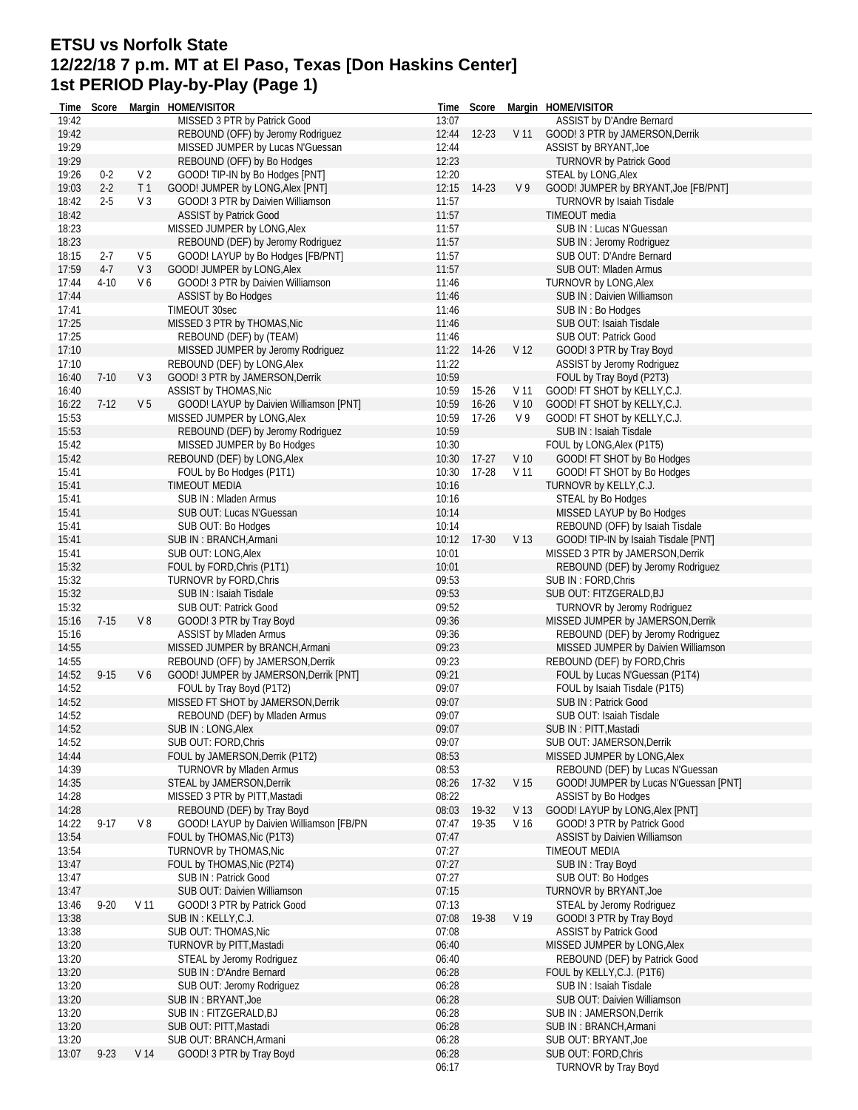# **ETSU vs Norfolk State 12/22/18 7 p.m. MT at El Paso, Texas [Don Haskins Center] 1st PERIOD Play-by-Play (Page 1)**

| 19:42<br>REBOUND (OFF) by Jeromy Rodriguez<br>12:44<br>$12 - 23$<br>V <sub>11</sub><br>GOOD! 3 PTR by JAMERSON, Derrik<br>19:29<br>MISSED JUMPER by Lucas N'Guessan<br>ASSIST by BRYANT, Joe<br>12:44<br>19:29<br>REBOUND (OFF) by Bo Hodges<br>12:23<br>TURNOVR by Patrick Good<br>19:26<br>$0 - 2$<br>V <sub>2</sub><br>GOOD! TIP-IN by Bo Hodges [PNT]<br>12:20<br>STEAL by LONG, Alex<br>19:03<br>$2 - 2$<br>GOOD! JUMPER by LONG, Alex [PNT]<br>12:15<br>14-23<br>V <sub>9</sub><br>T <sub>1</sub><br>GOOD! JUMPER by BRYANT, Joe [FB/PNT]<br>18:42<br>$2 - 5$<br>V <sub>3</sub><br>GOOD! 3 PTR by Daivien Williamson<br>11:57<br><b>TURNOVR by Isaiah Tisdale</b><br>18:42<br><b>ASSIST by Patrick Good</b><br>11:57<br>TIMEOUT media<br>18:23<br>MISSED JUMPER by LONG, Alex<br>11:57<br>SUB IN: Lucas N'Guessan<br>18:23<br>11:57<br>REBOUND (DEF) by Jeromy Rodriguez<br>SUB IN: Jeromy Rodriguez<br>18:15<br>$2 - 7$<br>V 5<br>GOOD! LAYUP by Bo Hodges [FB/PNT]<br>11:57<br>SUB OUT: D'Andre Bernard<br>17:59<br>$4-7$<br>V <sub>3</sub><br>GOOD! JUMPER by LONG, Alex<br>11:57<br>SUB OUT: Mladen Armus<br>17:44<br>$4 - 10$<br>V6<br>GOOD! 3 PTR by Daivien Williamson<br>11:46<br><b>TURNOVR by LONG, Alex</b><br>17:44<br>11:46<br><b>ASSIST by Bo Hodges</b><br>SUB IN: Daivien Williamson<br>17:41<br>TIMEOUT 30sec<br>11:46<br>SUB IN: Bo Hodges<br>17:25<br>MISSED 3 PTR by THOMAS, Nic<br>11:46<br>SUB OUT: Isaiah Tisdale<br>17:25<br>REBOUND (DEF) by (TEAM)<br>11:46<br>SUB OUT: Patrick Good<br>17:10<br>11:22<br>V <sub>12</sub><br>MISSED JUMPER by Jeromy Rodriguez<br>14-26<br>GOOD! 3 PTR by Tray Boyd<br>17:10<br>REBOUND (DEF) by LONG, Alex<br>11:22<br>ASSIST by Jeromy Rodriguez<br>16:40<br>$7-10$<br>V <sub>3</sub><br>GOOD! 3 PTR by JAMERSON, Derrik<br>10:59<br>FOUL by Tray Boyd (P2T3)<br>16:40<br>ASSIST by THOMAS, Nic<br>10:59<br>$15-26$<br>GOOD! FT SHOT by KELLY, C.J.<br>V 11<br>16:22<br>V <sub>5</sub><br>GOOD! LAYUP by Daivien Williamson [PNT]<br>10:59<br>$16 - 26$<br>V <sub>10</sub><br>GOOD! FT SHOT by KELLY, C.J.<br>$7-12$<br>15:53<br>MISSED JUMPER by LONG, Alex<br>10:59<br>$17-26$<br>V9<br>GOOD! FT SHOT by KELLY, C.J.<br>15:53<br>10:59<br>SUB IN: Isaiah Tisdale<br>REBOUND (DEF) by Jeromy Rodriguez<br>15:42<br>10:30<br>MISSED JUMPER by Bo Hodges<br>FOUL by LONG, Alex (P1T5)<br>15:42<br>REBOUND (DEF) by LONG, Alex<br>10:30<br>$17-27$<br>V <sub>10</sub><br>GOOD! FT SHOT by Bo Hodges<br>15:41<br>10:30<br>$17-28$<br>V <sub>11</sub><br>GOOD! FT SHOT by Bo Hodges<br>FOUL by Bo Hodges (P1T1)<br>15:41<br><b>TIMEOUT MEDIA</b><br>10:16<br>TURNOVR by KELLY, C.J.<br>15:41<br>SUB IN: Mladen Armus<br>10:16<br>STEAL by Bo Hodges<br>15:41<br>10:14<br>MISSED LAYUP by Bo Hodges<br>SUB OUT: Lucas N'Guessan<br>15:41<br>10:14<br>REBOUND (OFF) by Isaiah Tisdale<br>SUB OUT: Bo Hodges<br>GOOD! TIP-IN by Isaiah Tisdale [PNT]<br>15:41<br>SUB IN: BRANCH, Armani<br>10:12<br>17-30<br>V <sub>13</sub><br>15:41<br>SUB OUT: LONG, Alex<br>10:01<br>MISSED 3 PTR by JAMERSON, Derrik<br>15:32<br>FOUL by FORD, Chris (P1T1)<br>10:01<br>REBOUND (DEF) by Jeromy Rodriguez<br>15:32<br>09:53<br>TURNOVR by FORD, Chris<br>SUB IN: FORD, Chris<br>15:32<br>09:53<br>SUB IN : Isaiah Tisdale<br>SUB OUT: FITZGERALD,BJ<br>15:32<br>09:52<br>SUB OUT: Patrick Good<br>TURNOVR by Jeromy Rodriguez<br>15:16<br>$7 - 15$<br>$V_8$<br>09:36<br>GOOD! 3 PTR by Tray Boyd<br>MISSED JUMPER by JAMERSON, Derrik<br><b>ASSIST by Mladen Armus</b><br>REBOUND (DEF) by Jeromy Rodriguez<br>15:16<br>09:36<br>14:55<br>MISSED JUMPER by BRANCH, Armani<br>09:23<br>MISSED JUMPER by Daivien Williamson<br>14:55<br>REBOUND (OFF) by JAMERSON, Derrik<br>09:23<br>REBOUND (DEF) by FORD, Chris<br>14:52<br>$9 - 15$<br>V6<br>GOOD! JUMPER by JAMERSON, Derrik [PNT]<br>09:21<br>FOUL by Lucas N'Guessan (P1T4)<br>14:52<br>09:07<br>FOUL by Isaiah Tisdale (P1T5)<br>FOUL by Tray Boyd (P1T2)<br>14:52<br>MISSED FT SHOT by JAMERSON, Derrik<br>09:07<br>SUB IN: Patrick Good<br>14:52<br>09:07<br>SUB OUT: Isaiah Tisdale<br>REBOUND (DEF) by Mladen Armus<br>09:07<br>14:52<br>SUB IN: LONG, Alex<br>SUB IN: PITT, Mastadi<br>SUB OUT: FORD, Chris<br>09:07<br>SUB OUT: JAMERSON, Derrik<br>14:52<br>08:53<br>14:44<br>FOUL by JAMERSON, Derrik (P1T2)<br>MISSED JUMPER by LONG, Alex<br>14:39<br><b>TURNOVR by Mladen Armus</b><br>08:53<br>REBOUND (DEF) by Lucas N'Guessan<br>14:35<br>STEAL by JAMERSON, Derrik<br>V <sub>15</sub><br>GOOD! JUMPER by Lucas N'Guessan [PNT]<br>08:26<br>17-32<br>14:28<br>MISSED 3 PTR by PITT, Mastadi<br>08:22<br>ASSIST by Bo Hodges<br>14:28<br>GOOD! LAYUP by LONG, Alex [PNT]<br>REBOUND (DEF) by Tray Boyd<br>08:03<br>19-32<br>V 13<br>14:22<br>$9 - 17$<br>V8<br>GOOD! LAYUP by Daivien Williamson [FB/PN<br>19-35<br>V 16<br>GOOD! 3 PTR by Patrick Good<br>07:47<br>13:54<br>FOUL by THOMAS, Nic (P1T3)<br>07:47<br><b>ASSIST by Daivien Williamson</b><br>13:54<br>TURNOVR by THOMAS, Nic<br>07:27<br>TIMEOUT MEDIA<br>13:47<br>FOUL by THOMAS, Nic (P2T4)<br>07:27<br>SUB IN: Tray Boyd<br>13:47<br>07:27<br>SUB OUT: Bo Hodges<br>SUB IN: Patrick Good<br>13:47<br>SUB OUT: Daivien Williamson<br>07:15<br><b>TURNOVR by BRYANT, Joe</b><br>13:46<br>$9 - 20$<br>V <sub>11</sub><br>07:13<br>GOOD! 3 PTR by Patrick Good<br>STEAL by Jeromy Rodriguez<br>13:38<br>SUB IN: KELLY, C.J.<br>V <sub>19</sub><br>GOOD! 3 PTR by Tray Boyd<br>07:08<br>19-38<br>13:38<br>SUB OUT: THOMAS, Nic<br>07:08<br><b>ASSIST by Patrick Good</b><br>13:20<br>TURNOVR by PITT, Mastadi<br>06:40<br>MISSED JUMPER by LONG, Alex<br>13:20<br>06:40<br>REBOUND (DEF) by Patrick Good<br>STEAL by Jeromy Rodriguez<br>13:20<br>SUB IN : D'Andre Bernard<br>06:28<br>FOUL by KELLY, C.J. (P1T6)<br>13:20<br>SUB OUT: Jeromy Rodriguez<br>06:28<br>SUB IN : Isaiah Tisdale<br>13:20<br>06:28<br>SUB IN: BRYANT, Joe<br>SUB OUT: Daivien Williamson<br>13:20<br>SUB IN: FITZGERALD, BJ<br>06:28<br>SUB IN: JAMERSON, Derrik<br>13:20<br>SUB OUT: PITT, Mastadi<br>06:28<br>SUB IN: BRANCH, Armani<br>13:20<br>SUB OUT: BRANCH, Armani<br>06:28<br>SUB OUT: BRYANT, Joe<br>13:07<br>GOOD! 3 PTR by Tray Boyd<br>06:28<br>SUB OUT: FORD, Chris<br>$9 - 23$<br>V 14<br>06:17<br><b>TURNOVR by Tray Boyd</b> | Time  | Score | Margin HOME/VISITOR          | Time  | Score | Margin HOME/VISITOR       |
|---------------------------------------------------------------------------------------------------------------------------------------------------------------------------------------------------------------------------------------------------------------------------------------------------------------------------------------------------------------------------------------------------------------------------------------------------------------------------------------------------------------------------------------------------------------------------------------------------------------------------------------------------------------------------------------------------------------------------------------------------------------------------------------------------------------------------------------------------------------------------------------------------------------------------------------------------------------------------------------------------------------------------------------------------------------------------------------------------------------------------------------------------------------------------------------------------------------------------------------------------------------------------------------------------------------------------------------------------------------------------------------------------------------------------------------------------------------------------------------------------------------------------------------------------------------------------------------------------------------------------------------------------------------------------------------------------------------------------------------------------------------------------------------------------------------------------------------------------------------------------------------------------------------------------------------------------------------------------------------------------------------------------------------------------------------------------------------------------------------------------------------------------------------------------------------------------------------------------------------------------------------------------------------------------------------------------------------------------------------------------------------------------------------------------------------------------------------------------------------------------------------------------------------------------------------------------------------------------------------------------------------------------------------------------------------------------------------------------------------------------------------------------------------------------------------------------------------------------------------------------------------------------------------------------------------------------------------------------------------------------------------------------------------------------------------------------------------------------------------------------------------------------------------------------------------------------------------------------------------------------------------------------------------------------------------------------------------------------------------------------------------------------------------------------------------------------------------------------------------------------------------------------------------------------------------------------------------------------------------------------------------------------------------------------------------------------------------------------------------------------------------------------------------------------------------------------------------------------------------------------------------------------------------------------------------------------------------------------------------------------------------------------------------------------------------------------------------------------------------------------------------------------------------------------------------------------------------------------------------------------------------------------------------------------------------------------------------------------------------------------------------------------------------------------------------------------------------------------------------------------------------------------------------------------------------------------------------------------------------------------------------------------------------------------------------------------------------------------------------------------------------------------------------------------------------------------------------------------------------------------------------------------------------------------------------------------------------------------------------------------------------------------------------------------------------------------------------------------------------------------------------------------------------------------------------------------------------------------------------------------------------------------------------------------------------------------------------------------------------------------------------------------------------------------------------------------------------------------------------------------------------------------------------------------------------------------------------------------------------------------------------------------------------------------------------------------------------------------------------------------------------------------------------------------------------------------------------------------------------------------------------------------------------------------------------------------------------------------------------------------------------------------------------------------------------------------------------------------------------------------------------------------------------------------------------------------------------------------------------------------------------------------------------------------------|-------|-------|------------------------------|-------|-------|---------------------------|
|                                                                                                                                                                                                                                                                                                                                                                                                                                                                                                                                                                                                                                                                                                                                                                                                                                                                                                                                                                                                                                                                                                                                                                                                                                                                                                                                                                                                                                                                                                                                                                                                                                                                                                                                                                                                                                                                                                                                                                                                                                                                                                                                                                                                                                                                                                                                                                                                                                                                                                                                                                                                                                                                                                                                                                                                                                                                                                                                                                                                                                                                                                                                                                                                                                                                                                                                                                                                                                                                                                                                                                                                                                                                                                                                                                                                                                                                                                                                                                                                                                                                                                                                                                                                                                                                                                                                                                                                                                                                                                                                                                                                                                                                                                                                                                                                                                                                                                                                                                                                                                                                                                                                                                                                                                                                                                                                                                                                                                                                                                                                                                                                                                                                                                                                                                                                                                                                                                                                                                                                                                                                                                                                                                                                                                                                                                         | 19:42 |       | MISSED 3 PTR by Patrick Good | 13:07 |       | ASSIST by D'Andre Bernard |
|                                                                                                                                                                                                                                                                                                                                                                                                                                                                                                                                                                                                                                                                                                                                                                                                                                                                                                                                                                                                                                                                                                                                                                                                                                                                                                                                                                                                                                                                                                                                                                                                                                                                                                                                                                                                                                                                                                                                                                                                                                                                                                                                                                                                                                                                                                                                                                                                                                                                                                                                                                                                                                                                                                                                                                                                                                                                                                                                                                                                                                                                                                                                                                                                                                                                                                                                                                                                                                                                                                                                                                                                                                                                                                                                                                                                                                                                                                                                                                                                                                                                                                                                                                                                                                                                                                                                                                                                                                                                                                                                                                                                                                                                                                                                                                                                                                                                                                                                                                                                                                                                                                                                                                                                                                                                                                                                                                                                                                                                                                                                                                                                                                                                                                                                                                                                                                                                                                                                                                                                                                                                                                                                                                                                                                                                                                         |       |       |                              |       |       |                           |
|                                                                                                                                                                                                                                                                                                                                                                                                                                                                                                                                                                                                                                                                                                                                                                                                                                                                                                                                                                                                                                                                                                                                                                                                                                                                                                                                                                                                                                                                                                                                                                                                                                                                                                                                                                                                                                                                                                                                                                                                                                                                                                                                                                                                                                                                                                                                                                                                                                                                                                                                                                                                                                                                                                                                                                                                                                                                                                                                                                                                                                                                                                                                                                                                                                                                                                                                                                                                                                                                                                                                                                                                                                                                                                                                                                                                                                                                                                                                                                                                                                                                                                                                                                                                                                                                                                                                                                                                                                                                                                                                                                                                                                                                                                                                                                                                                                                                                                                                                                                                                                                                                                                                                                                                                                                                                                                                                                                                                                                                                                                                                                                                                                                                                                                                                                                                                                                                                                                                                                                                                                                                                                                                                                                                                                                                                                         |       |       |                              |       |       |                           |
|                                                                                                                                                                                                                                                                                                                                                                                                                                                                                                                                                                                                                                                                                                                                                                                                                                                                                                                                                                                                                                                                                                                                                                                                                                                                                                                                                                                                                                                                                                                                                                                                                                                                                                                                                                                                                                                                                                                                                                                                                                                                                                                                                                                                                                                                                                                                                                                                                                                                                                                                                                                                                                                                                                                                                                                                                                                                                                                                                                                                                                                                                                                                                                                                                                                                                                                                                                                                                                                                                                                                                                                                                                                                                                                                                                                                                                                                                                                                                                                                                                                                                                                                                                                                                                                                                                                                                                                                                                                                                                                                                                                                                                                                                                                                                                                                                                                                                                                                                                                                                                                                                                                                                                                                                                                                                                                                                                                                                                                                                                                                                                                                                                                                                                                                                                                                                                                                                                                                                                                                                                                                                                                                                                                                                                                                                                         |       |       |                              |       |       |                           |
|                                                                                                                                                                                                                                                                                                                                                                                                                                                                                                                                                                                                                                                                                                                                                                                                                                                                                                                                                                                                                                                                                                                                                                                                                                                                                                                                                                                                                                                                                                                                                                                                                                                                                                                                                                                                                                                                                                                                                                                                                                                                                                                                                                                                                                                                                                                                                                                                                                                                                                                                                                                                                                                                                                                                                                                                                                                                                                                                                                                                                                                                                                                                                                                                                                                                                                                                                                                                                                                                                                                                                                                                                                                                                                                                                                                                                                                                                                                                                                                                                                                                                                                                                                                                                                                                                                                                                                                                                                                                                                                                                                                                                                                                                                                                                                                                                                                                                                                                                                                                                                                                                                                                                                                                                                                                                                                                                                                                                                                                                                                                                                                                                                                                                                                                                                                                                                                                                                                                                                                                                                                                                                                                                                                                                                                                                                         |       |       |                              |       |       |                           |
|                                                                                                                                                                                                                                                                                                                                                                                                                                                                                                                                                                                                                                                                                                                                                                                                                                                                                                                                                                                                                                                                                                                                                                                                                                                                                                                                                                                                                                                                                                                                                                                                                                                                                                                                                                                                                                                                                                                                                                                                                                                                                                                                                                                                                                                                                                                                                                                                                                                                                                                                                                                                                                                                                                                                                                                                                                                                                                                                                                                                                                                                                                                                                                                                                                                                                                                                                                                                                                                                                                                                                                                                                                                                                                                                                                                                                                                                                                                                                                                                                                                                                                                                                                                                                                                                                                                                                                                                                                                                                                                                                                                                                                                                                                                                                                                                                                                                                                                                                                                                                                                                                                                                                                                                                                                                                                                                                                                                                                                                                                                                                                                                                                                                                                                                                                                                                                                                                                                                                                                                                                                                                                                                                                                                                                                                                                         |       |       |                              |       |       |                           |
|                                                                                                                                                                                                                                                                                                                                                                                                                                                                                                                                                                                                                                                                                                                                                                                                                                                                                                                                                                                                                                                                                                                                                                                                                                                                                                                                                                                                                                                                                                                                                                                                                                                                                                                                                                                                                                                                                                                                                                                                                                                                                                                                                                                                                                                                                                                                                                                                                                                                                                                                                                                                                                                                                                                                                                                                                                                                                                                                                                                                                                                                                                                                                                                                                                                                                                                                                                                                                                                                                                                                                                                                                                                                                                                                                                                                                                                                                                                                                                                                                                                                                                                                                                                                                                                                                                                                                                                                                                                                                                                                                                                                                                                                                                                                                                                                                                                                                                                                                                                                                                                                                                                                                                                                                                                                                                                                                                                                                                                                                                                                                                                                                                                                                                                                                                                                                                                                                                                                                                                                                                                                                                                                                                                                                                                                                                         |       |       |                              |       |       |                           |
|                                                                                                                                                                                                                                                                                                                                                                                                                                                                                                                                                                                                                                                                                                                                                                                                                                                                                                                                                                                                                                                                                                                                                                                                                                                                                                                                                                                                                                                                                                                                                                                                                                                                                                                                                                                                                                                                                                                                                                                                                                                                                                                                                                                                                                                                                                                                                                                                                                                                                                                                                                                                                                                                                                                                                                                                                                                                                                                                                                                                                                                                                                                                                                                                                                                                                                                                                                                                                                                                                                                                                                                                                                                                                                                                                                                                                                                                                                                                                                                                                                                                                                                                                                                                                                                                                                                                                                                                                                                                                                                                                                                                                                                                                                                                                                                                                                                                                                                                                                                                                                                                                                                                                                                                                                                                                                                                                                                                                                                                                                                                                                                                                                                                                                                                                                                                                                                                                                                                                                                                                                                                                                                                                                                                                                                                                                         |       |       |                              |       |       |                           |
|                                                                                                                                                                                                                                                                                                                                                                                                                                                                                                                                                                                                                                                                                                                                                                                                                                                                                                                                                                                                                                                                                                                                                                                                                                                                                                                                                                                                                                                                                                                                                                                                                                                                                                                                                                                                                                                                                                                                                                                                                                                                                                                                                                                                                                                                                                                                                                                                                                                                                                                                                                                                                                                                                                                                                                                                                                                                                                                                                                                                                                                                                                                                                                                                                                                                                                                                                                                                                                                                                                                                                                                                                                                                                                                                                                                                                                                                                                                                                                                                                                                                                                                                                                                                                                                                                                                                                                                                                                                                                                                                                                                                                                                                                                                                                                                                                                                                                                                                                                                                                                                                                                                                                                                                                                                                                                                                                                                                                                                                                                                                                                                                                                                                                                                                                                                                                                                                                                                                                                                                                                                                                                                                                                                                                                                                                                         |       |       |                              |       |       |                           |
|                                                                                                                                                                                                                                                                                                                                                                                                                                                                                                                                                                                                                                                                                                                                                                                                                                                                                                                                                                                                                                                                                                                                                                                                                                                                                                                                                                                                                                                                                                                                                                                                                                                                                                                                                                                                                                                                                                                                                                                                                                                                                                                                                                                                                                                                                                                                                                                                                                                                                                                                                                                                                                                                                                                                                                                                                                                                                                                                                                                                                                                                                                                                                                                                                                                                                                                                                                                                                                                                                                                                                                                                                                                                                                                                                                                                                                                                                                                                                                                                                                                                                                                                                                                                                                                                                                                                                                                                                                                                                                                                                                                                                                                                                                                                                                                                                                                                                                                                                                                                                                                                                                                                                                                                                                                                                                                                                                                                                                                                                                                                                                                                                                                                                                                                                                                                                                                                                                                                                                                                                                                                                                                                                                                                                                                                                                         |       |       |                              |       |       |                           |
|                                                                                                                                                                                                                                                                                                                                                                                                                                                                                                                                                                                                                                                                                                                                                                                                                                                                                                                                                                                                                                                                                                                                                                                                                                                                                                                                                                                                                                                                                                                                                                                                                                                                                                                                                                                                                                                                                                                                                                                                                                                                                                                                                                                                                                                                                                                                                                                                                                                                                                                                                                                                                                                                                                                                                                                                                                                                                                                                                                                                                                                                                                                                                                                                                                                                                                                                                                                                                                                                                                                                                                                                                                                                                                                                                                                                                                                                                                                                                                                                                                                                                                                                                                                                                                                                                                                                                                                                                                                                                                                                                                                                                                                                                                                                                                                                                                                                                                                                                                                                                                                                                                                                                                                                                                                                                                                                                                                                                                                                                                                                                                                                                                                                                                                                                                                                                                                                                                                                                                                                                                                                                                                                                                                                                                                                                                         |       |       |                              |       |       |                           |
|                                                                                                                                                                                                                                                                                                                                                                                                                                                                                                                                                                                                                                                                                                                                                                                                                                                                                                                                                                                                                                                                                                                                                                                                                                                                                                                                                                                                                                                                                                                                                                                                                                                                                                                                                                                                                                                                                                                                                                                                                                                                                                                                                                                                                                                                                                                                                                                                                                                                                                                                                                                                                                                                                                                                                                                                                                                                                                                                                                                                                                                                                                                                                                                                                                                                                                                                                                                                                                                                                                                                                                                                                                                                                                                                                                                                                                                                                                                                                                                                                                                                                                                                                                                                                                                                                                                                                                                                                                                                                                                                                                                                                                                                                                                                                                                                                                                                                                                                                                                                                                                                                                                                                                                                                                                                                                                                                                                                                                                                                                                                                                                                                                                                                                                                                                                                                                                                                                                                                                                                                                                                                                                                                                                                                                                                                                         |       |       |                              |       |       |                           |
|                                                                                                                                                                                                                                                                                                                                                                                                                                                                                                                                                                                                                                                                                                                                                                                                                                                                                                                                                                                                                                                                                                                                                                                                                                                                                                                                                                                                                                                                                                                                                                                                                                                                                                                                                                                                                                                                                                                                                                                                                                                                                                                                                                                                                                                                                                                                                                                                                                                                                                                                                                                                                                                                                                                                                                                                                                                                                                                                                                                                                                                                                                                                                                                                                                                                                                                                                                                                                                                                                                                                                                                                                                                                                                                                                                                                                                                                                                                                                                                                                                                                                                                                                                                                                                                                                                                                                                                                                                                                                                                                                                                                                                                                                                                                                                                                                                                                                                                                                                                                                                                                                                                                                                                                                                                                                                                                                                                                                                                                                                                                                                                                                                                                                                                                                                                                                                                                                                                                                                                                                                                                                                                                                                                                                                                                                                         |       |       |                              |       |       |                           |
|                                                                                                                                                                                                                                                                                                                                                                                                                                                                                                                                                                                                                                                                                                                                                                                                                                                                                                                                                                                                                                                                                                                                                                                                                                                                                                                                                                                                                                                                                                                                                                                                                                                                                                                                                                                                                                                                                                                                                                                                                                                                                                                                                                                                                                                                                                                                                                                                                                                                                                                                                                                                                                                                                                                                                                                                                                                                                                                                                                                                                                                                                                                                                                                                                                                                                                                                                                                                                                                                                                                                                                                                                                                                                                                                                                                                                                                                                                                                                                                                                                                                                                                                                                                                                                                                                                                                                                                                                                                                                                                                                                                                                                                                                                                                                                                                                                                                                                                                                                                                                                                                                                                                                                                                                                                                                                                                                                                                                                                                                                                                                                                                                                                                                                                                                                                                                                                                                                                                                                                                                                                                                                                                                                                                                                                                                                         |       |       |                              |       |       |                           |
|                                                                                                                                                                                                                                                                                                                                                                                                                                                                                                                                                                                                                                                                                                                                                                                                                                                                                                                                                                                                                                                                                                                                                                                                                                                                                                                                                                                                                                                                                                                                                                                                                                                                                                                                                                                                                                                                                                                                                                                                                                                                                                                                                                                                                                                                                                                                                                                                                                                                                                                                                                                                                                                                                                                                                                                                                                                                                                                                                                                                                                                                                                                                                                                                                                                                                                                                                                                                                                                                                                                                                                                                                                                                                                                                                                                                                                                                                                                                                                                                                                                                                                                                                                                                                                                                                                                                                                                                                                                                                                                                                                                                                                                                                                                                                                                                                                                                                                                                                                                                                                                                                                                                                                                                                                                                                                                                                                                                                                                                                                                                                                                                                                                                                                                                                                                                                                                                                                                                                                                                                                                                                                                                                                                                                                                                                                         |       |       |                              |       |       |                           |
|                                                                                                                                                                                                                                                                                                                                                                                                                                                                                                                                                                                                                                                                                                                                                                                                                                                                                                                                                                                                                                                                                                                                                                                                                                                                                                                                                                                                                                                                                                                                                                                                                                                                                                                                                                                                                                                                                                                                                                                                                                                                                                                                                                                                                                                                                                                                                                                                                                                                                                                                                                                                                                                                                                                                                                                                                                                                                                                                                                                                                                                                                                                                                                                                                                                                                                                                                                                                                                                                                                                                                                                                                                                                                                                                                                                                                                                                                                                                                                                                                                                                                                                                                                                                                                                                                                                                                                                                                                                                                                                                                                                                                                                                                                                                                                                                                                                                                                                                                                                                                                                                                                                                                                                                                                                                                                                                                                                                                                                                                                                                                                                                                                                                                                                                                                                                                                                                                                                                                                                                                                                                                                                                                                                                                                                                                                         |       |       |                              |       |       |                           |
|                                                                                                                                                                                                                                                                                                                                                                                                                                                                                                                                                                                                                                                                                                                                                                                                                                                                                                                                                                                                                                                                                                                                                                                                                                                                                                                                                                                                                                                                                                                                                                                                                                                                                                                                                                                                                                                                                                                                                                                                                                                                                                                                                                                                                                                                                                                                                                                                                                                                                                                                                                                                                                                                                                                                                                                                                                                                                                                                                                                                                                                                                                                                                                                                                                                                                                                                                                                                                                                                                                                                                                                                                                                                                                                                                                                                                                                                                                                                                                                                                                                                                                                                                                                                                                                                                                                                                                                                                                                                                                                                                                                                                                                                                                                                                                                                                                                                                                                                                                                                                                                                                                                                                                                                                                                                                                                                                                                                                                                                                                                                                                                                                                                                                                                                                                                                                                                                                                                                                                                                                                                                                                                                                                                                                                                                                                         |       |       |                              |       |       |                           |
|                                                                                                                                                                                                                                                                                                                                                                                                                                                                                                                                                                                                                                                                                                                                                                                                                                                                                                                                                                                                                                                                                                                                                                                                                                                                                                                                                                                                                                                                                                                                                                                                                                                                                                                                                                                                                                                                                                                                                                                                                                                                                                                                                                                                                                                                                                                                                                                                                                                                                                                                                                                                                                                                                                                                                                                                                                                                                                                                                                                                                                                                                                                                                                                                                                                                                                                                                                                                                                                                                                                                                                                                                                                                                                                                                                                                                                                                                                                                                                                                                                                                                                                                                                                                                                                                                                                                                                                                                                                                                                                                                                                                                                                                                                                                                                                                                                                                                                                                                                                                                                                                                                                                                                                                                                                                                                                                                                                                                                                                                                                                                                                                                                                                                                                                                                                                                                                                                                                                                                                                                                                                                                                                                                                                                                                                                                         |       |       |                              |       |       |                           |
|                                                                                                                                                                                                                                                                                                                                                                                                                                                                                                                                                                                                                                                                                                                                                                                                                                                                                                                                                                                                                                                                                                                                                                                                                                                                                                                                                                                                                                                                                                                                                                                                                                                                                                                                                                                                                                                                                                                                                                                                                                                                                                                                                                                                                                                                                                                                                                                                                                                                                                                                                                                                                                                                                                                                                                                                                                                                                                                                                                                                                                                                                                                                                                                                                                                                                                                                                                                                                                                                                                                                                                                                                                                                                                                                                                                                                                                                                                                                                                                                                                                                                                                                                                                                                                                                                                                                                                                                                                                                                                                                                                                                                                                                                                                                                                                                                                                                                                                                                                                                                                                                                                                                                                                                                                                                                                                                                                                                                                                                                                                                                                                                                                                                                                                                                                                                                                                                                                                                                                                                                                                                                                                                                                                                                                                                                                         |       |       |                              |       |       |                           |
|                                                                                                                                                                                                                                                                                                                                                                                                                                                                                                                                                                                                                                                                                                                                                                                                                                                                                                                                                                                                                                                                                                                                                                                                                                                                                                                                                                                                                                                                                                                                                                                                                                                                                                                                                                                                                                                                                                                                                                                                                                                                                                                                                                                                                                                                                                                                                                                                                                                                                                                                                                                                                                                                                                                                                                                                                                                                                                                                                                                                                                                                                                                                                                                                                                                                                                                                                                                                                                                                                                                                                                                                                                                                                                                                                                                                                                                                                                                                                                                                                                                                                                                                                                                                                                                                                                                                                                                                                                                                                                                                                                                                                                                                                                                                                                                                                                                                                                                                                                                                                                                                                                                                                                                                                                                                                                                                                                                                                                                                                                                                                                                                                                                                                                                                                                                                                                                                                                                                                                                                                                                                                                                                                                                                                                                                                                         |       |       |                              |       |       |                           |
|                                                                                                                                                                                                                                                                                                                                                                                                                                                                                                                                                                                                                                                                                                                                                                                                                                                                                                                                                                                                                                                                                                                                                                                                                                                                                                                                                                                                                                                                                                                                                                                                                                                                                                                                                                                                                                                                                                                                                                                                                                                                                                                                                                                                                                                                                                                                                                                                                                                                                                                                                                                                                                                                                                                                                                                                                                                                                                                                                                                                                                                                                                                                                                                                                                                                                                                                                                                                                                                                                                                                                                                                                                                                                                                                                                                                                                                                                                                                                                                                                                                                                                                                                                                                                                                                                                                                                                                                                                                                                                                                                                                                                                                                                                                                                                                                                                                                                                                                                                                                                                                                                                                                                                                                                                                                                                                                                                                                                                                                                                                                                                                                                                                                                                                                                                                                                                                                                                                                                                                                                                                                                                                                                                                                                                                                                                         |       |       |                              |       |       |                           |
|                                                                                                                                                                                                                                                                                                                                                                                                                                                                                                                                                                                                                                                                                                                                                                                                                                                                                                                                                                                                                                                                                                                                                                                                                                                                                                                                                                                                                                                                                                                                                                                                                                                                                                                                                                                                                                                                                                                                                                                                                                                                                                                                                                                                                                                                                                                                                                                                                                                                                                                                                                                                                                                                                                                                                                                                                                                                                                                                                                                                                                                                                                                                                                                                                                                                                                                                                                                                                                                                                                                                                                                                                                                                                                                                                                                                                                                                                                                                                                                                                                                                                                                                                                                                                                                                                                                                                                                                                                                                                                                                                                                                                                                                                                                                                                                                                                                                                                                                                                                                                                                                                                                                                                                                                                                                                                                                                                                                                                                                                                                                                                                                                                                                                                                                                                                                                                                                                                                                                                                                                                                                                                                                                                                                                                                                                                         |       |       |                              |       |       |                           |
|                                                                                                                                                                                                                                                                                                                                                                                                                                                                                                                                                                                                                                                                                                                                                                                                                                                                                                                                                                                                                                                                                                                                                                                                                                                                                                                                                                                                                                                                                                                                                                                                                                                                                                                                                                                                                                                                                                                                                                                                                                                                                                                                                                                                                                                                                                                                                                                                                                                                                                                                                                                                                                                                                                                                                                                                                                                                                                                                                                                                                                                                                                                                                                                                                                                                                                                                                                                                                                                                                                                                                                                                                                                                                                                                                                                                                                                                                                                                                                                                                                                                                                                                                                                                                                                                                                                                                                                                                                                                                                                                                                                                                                                                                                                                                                                                                                                                                                                                                                                                                                                                                                                                                                                                                                                                                                                                                                                                                                                                                                                                                                                                                                                                                                                                                                                                                                                                                                                                                                                                                                                                                                                                                                                                                                                                                                         |       |       |                              |       |       |                           |
|                                                                                                                                                                                                                                                                                                                                                                                                                                                                                                                                                                                                                                                                                                                                                                                                                                                                                                                                                                                                                                                                                                                                                                                                                                                                                                                                                                                                                                                                                                                                                                                                                                                                                                                                                                                                                                                                                                                                                                                                                                                                                                                                                                                                                                                                                                                                                                                                                                                                                                                                                                                                                                                                                                                                                                                                                                                                                                                                                                                                                                                                                                                                                                                                                                                                                                                                                                                                                                                                                                                                                                                                                                                                                                                                                                                                                                                                                                                                                                                                                                                                                                                                                                                                                                                                                                                                                                                                                                                                                                                                                                                                                                                                                                                                                                                                                                                                                                                                                                                                                                                                                                                                                                                                                                                                                                                                                                                                                                                                                                                                                                                                                                                                                                                                                                                                                                                                                                                                                                                                                                                                                                                                                                                                                                                                                                         |       |       |                              |       |       |                           |
|                                                                                                                                                                                                                                                                                                                                                                                                                                                                                                                                                                                                                                                                                                                                                                                                                                                                                                                                                                                                                                                                                                                                                                                                                                                                                                                                                                                                                                                                                                                                                                                                                                                                                                                                                                                                                                                                                                                                                                                                                                                                                                                                                                                                                                                                                                                                                                                                                                                                                                                                                                                                                                                                                                                                                                                                                                                                                                                                                                                                                                                                                                                                                                                                                                                                                                                                                                                                                                                                                                                                                                                                                                                                                                                                                                                                                                                                                                                                                                                                                                                                                                                                                                                                                                                                                                                                                                                                                                                                                                                                                                                                                                                                                                                                                                                                                                                                                                                                                                                                                                                                                                                                                                                                                                                                                                                                                                                                                                                                                                                                                                                                                                                                                                                                                                                                                                                                                                                                                                                                                                                                                                                                                                                                                                                                                                         |       |       |                              |       |       |                           |
|                                                                                                                                                                                                                                                                                                                                                                                                                                                                                                                                                                                                                                                                                                                                                                                                                                                                                                                                                                                                                                                                                                                                                                                                                                                                                                                                                                                                                                                                                                                                                                                                                                                                                                                                                                                                                                                                                                                                                                                                                                                                                                                                                                                                                                                                                                                                                                                                                                                                                                                                                                                                                                                                                                                                                                                                                                                                                                                                                                                                                                                                                                                                                                                                                                                                                                                                                                                                                                                                                                                                                                                                                                                                                                                                                                                                                                                                                                                                                                                                                                                                                                                                                                                                                                                                                                                                                                                                                                                                                                                                                                                                                                                                                                                                                                                                                                                                                                                                                                                                                                                                                                                                                                                                                                                                                                                                                                                                                                                                                                                                                                                                                                                                                                                                                                                                                                                                                                                                                                                                                                                                                                                                                                                                                                                                                                         |       |       |                              |       |       |                           |
|                                                                                                                                                                                                                                                                                                                                                                                                                                                                                                                                                                                                                                                                                                                                                                                                                                                                                                                                                                                                                                                                                                                                                                                                                                                                                                                                                                                                                                                                                                                                                                                                                                                                                                                                                                                                                                                                                                                                                                                                                                                                                                                                                                                                                                                                                                                                                                                                                                                                                                                                                                                                                                                                                                                                                                                                                                                                                                                                                                                                                                                                                                                                                                                                                                                                                                                                                                                                                                                                                                                                                                                                                                                                                                                                                                                                                                                                                                                                                                                                                                                                                                                                                                                                                                                                                                                                                                                                                                                                                                                                                                                                                                                                                                                                                                                                                                                                                                                                                                                                                                                                                                                                                                                                                                                                                                                                                                                                                                                                                                                                                                                                                                                                                                                                                                                                                                                                                                                                                                                                                                                                                                                                                                                                                                                                                                         |       |       |                              |       |       |                           |
|                                                                                                                                                                                                                                                                                                                                                                                                                                                                                                                                                                                                                                                                                                                                                                                                                                                                                                                                                                                                                                                                                                                                                                                                                                                                                                                                                                                                                                                                                                                                                                                                                                                                                                                                                                                                                                                                                                                                                                                                                                                                                                                                                                                                                                                                                                                                                                                                                                                                                                                                                                                                                                                                                                                                                                                                                                                                                                                                                                                                                                                                                                                                                                                                                                                                                                                                                                                                                                                                                                                                                                                                                                                                                                                                                                                                                                                                                                                                                                                                                                                                                                                                                                                                                                                                                                                                                                                                                                                                                                                                                                                                                                                                                                                                                                                                                                                                                                                                                                                                                                                                                                                                                                                                                                                                                                                                                                                                                                                                                                                                                                                                                                                                                                                                                                                                                                                                                                                                                                                                                                                                                                                                                                                                                                                                                                         |       |       |                              |       |       |                           |
|                                                                                                                                                                                                                                                                                                                                                                                                                                                                                                                                                                                                                                                                                                                                                                                                                                                                                                                                                                                                                                                                                                                                                                                                                                                                                                                                                                                                                                                                                                                                                                                                                                                                                                                                                                                                                                                                                                                                                                                                                                                                                                                                                                                                                                                                                                                                                                                                                                                                                                                                                                                                                                                                                                                                                                                                                                                                                                                                                                                                                                                                                                                                                                                                                                                                                                                                                                                                                                                                                                                                                                                                                                                                                                                                                                                                                                                                                                                                                                                                                                                                                                                                                                                                                                                                                                                                                                                                                                                                                                                                                                                                                                                                                                                                                                                                                                                                                                                                                                                                                                                                                                                                                                                                                                                                                                                                                                                                                                                                                                                                                                                                                                                                                                                                                                                                                                                                                                                                                                                                                                                                                                                                                                                                                                                                                                         |       |       |                              |       |       |                           |
|                                                                                                                                                                                                                                                                                                                                                                                                                                                                                                                                                                                                                                                                                                                                                                                                                                                                                                                                                                                                                                                                                                                                                                                                                                                                                                                                                                                                                                                                                                                                                                                                                                                                                                                                                                                                                                                                                                                                                                                                                                                                                                                                                                                                                                                                                                                                                                                                                                                                                                                                                                                                                                                                                                                                                                                                                                                                                                                                                                                                                                                                                                                                                                                                                                                                                                                                                                                                                                                                                                                                                                                                                                                                                                                                                                                                                                                                                                                                                                                                                                                                                                                                                                                                                                                                                                                                                                                                                                                                                                                                                                                                                                                                                                                                                                                                                                                                                                                                                                                                                                                                                                                                                                                                                                                                                                                                                                                                                                                                                                                                                                                                                                                                                                                                                                                                                                                                                                                                                                                                                                                                                                                                                                                                                                                                                                         |       |       |                              |       |       |                           |
|                                                                                                                                                                                                                                                                                                                                                                                                                                                                                                                                                                                                                                                                                                                                                                                                                                                                                                                                                                                                                                                                                                                                                                                                                                                                                                                                                                                                                                                                                                                                                                                                                                                                                                                                                                                                                                                                                                                                                                                                                                                                                                                                                                                                                                                                                                                                                                                                                                                                                                                                                                                                                                                                                                                                                                                                                                                                                                                                                                                                                                                                                                                                                                                                                                                                                                                                                                                                                                                                                                                                                                                                                                                                                                                                                                                                                                                                                                                                                                                                                                                                                                                                                                                                                                                                                                                                                                                                                                                                                                                                                                                                                                                                                                                                                                                                                                                                                                                                                                                                                                                                                                                                                                                                                                                                                                                                                                                                                                                                                                                                                                                                                                                                                                                                                                                                                                                                                                                                                                                                                                                                                                                                                                                                                                                                                                         |       |       |                              |       |       |                           |
|                                                                                                                                                                                                                                                                                                                                                                                                                                                                                                                                                                                                                                                                                                                                                                                                                                                                                                                                                                                                                                                                                                                                                                                                                                                                                                                                                                                                                                                                                                                                                                                                                                                                                                                                                                                                                                                                                                                                                                                                                                                                                                                                                                                                                                                                                                                                                                                                                                                                                                                                                                                                                                                                                                                                                                                                                                                                                                                                                                                                                                                                                                                                                                                                                                                                                                                                                                                                                                                                                                                                                                                                                                                                                                                                                                                                                                                                                                                                                                                                                                                                                                                                                                                                                                                                                                                                                                                                                                                                                                                                                                                                                                                                                                                                                                                                                                                                                                                                                                                                                                                                                                                                                                                                                                                                                                                                                                                                                                                                                                                                                                                                                                                                                                                                                                                                                                                                                                                                                                                                                                                                                                                                                                                                                                                                                                         |       |       |                              |       |       |                           |
|                                                                                                                                                                                                                                                                                                                                                                                                                                                                                                                                                                                                                                                                                                                                                                                                                                                                                                                                                                                                                                                                                                                                                                                                                                                                                                                                                                                                                                                                                                                                                                                                                                                                                                                                                                                                                                                                                                                                                                                                                                                                                                                                                                                                                                                                                                                                                                                                                                                                                                                                                                                                                                                                                                                                                                                                                                                                                                                                                                                                                                                                                                                                                                                                                                                                                                                                                                                                                                                                                                                                                                                                                                                                                                                                                                                                                                                                                                                                                                                                                                                                                                                                                                                                                                                                                                                                                                                                                                                                                                                                                                                                                                                                                                                                                                                                                                                                                                                                                                                                                                                                                                                                                                                                                                                                                                                                                                                                                                                                                                                                                                                                                                                                                                                                                                                                                                                                                                                                                                                                                                                                                                                                                                                                                                                                                                         |       |       |                              |       |       |                           |
|                                                                                                                                                                                                                                                                                                                                                                                                                                                                                                                                                                                                                                                                                                                                                                                                                                                                                                                                                                                                                                                                                                                                                                                                                                                                                                                                                                                                                                                                                                                                                                                                                                                                                                                                                                                                                                                                                                                                                                                                                                                                                                                                                                                                                                                                                                                                                                                                                                                                                                                                                                                                                                                                                                                                                                                                                                                                                                                                                                                                                                                                                                                                                                                                                                                                                                                                                                                                                                                                                                                                                                                                                                                                                                                                                                                                                                                                                                                                                                                                                                                                                                                                                                                                                                                                                                                                                                                                                                                                                                                                                                                                                                                                                                                                                                                                                                                                                                                                                                                                                                                                                                                                                                                                                                                                                                                                                                                                                                                                                                                                                                                                                                                                                                                                                                                                                                                                                                                                                                                                                                                                                                                                                                                                                                                                                                         |       |       |                              |       |       |                           |
|                                                                                                                                                                                                                                                                                                                                                                                                                                                                                                                                                                                                                                                                                                                                                                                                                                                                                                                                                                                                                                                                                                                                                                                                                                                                                                                                                                                                                                                                                                                                                                                                                                                                                                                                                                                                                                                                                                                                                                                                                                                                                                                                                                                                                                                                                                                                                                                                                                                                                                                                                                                                                                                                                                                                                                                                                                                                                                                                                                                                                                                                                                                                                                                                                                                                                                                                                                                                                                                                                                                                                                                                                                                                                                                                                                                                                                                                                                                                                                                                                                                                                                                                                                                                                                                                                                                                                                                                                                                                                                                                                                                                                                                                                                                                                                                                                                                                                                                                                                                                                                                                                                                                                                                                                                                                                                                                                                                                                                                                                                                                                                                                                                                                                                                                                                                                                                                                                                                                                                                                                                                                                                                                                                                                                                                                                                         |       |       |                              |       |       |                           |
|                                                                                                                                                                                                                                                                                                                                                                                                                                                                                                                                                                                                                                                                                                                                                                                                                                                                                                                                                                                                                                                                                                                                                                                                                                                                                                                                                                                                                                                                                                                                                                                                                                                                                                                                                                                                                                                                                                                                                                                                                                                                                                                                                                                                                                                                                                                                                                                                                                                                                                                                                                                                                                                                                                                                                                                                                                                                                                                                                                                                                                                                                                                                                                                                                                                                                                                                                                                                                                                                                                                                                                                                                                                                                                                                                                                                                                                                                                                                                                                                                                                                                                                                                                                                                                                                                                                                                                                                                                                                                                                                                                                                                                                                                                                                                                                                                                                                                                                                                                                                                                                                                                                                                                                                                                                                                                                                                                                                                                                                                                                                                                                                                                                                                                                                                                                                                                                                                                                                                                                                                                                                                                                                                                                                                                                                                                         |       |       |                              |       |       |                           |
|                                                                                                                                                                                                                                                                                                                                                                                                                                                                                                                                                                                                                                                                                                                                                                                                                                                                                                                                                                                                                                                                                                                                                                                                                                                                                                                                                                                                                                                                                                                                                                                                                                                                                                                                                                                                                                                                                                                                                                                                                                                                                                                                                                                                                                                                                                                                                                                                                                                                                                                                                                                                                                                                                                                                                                                                                                                                                                                                                                                                                                                                                                                                                                                                                                                                                                                                                                                                                                                                                                                                                                                                                                                                                                                                                                                                                                                                                                                                                                                                                                                                                                                                                                                                                                                                                                                                                                                                                                                                                                                                                                                                                                                                                                                                                                                                                                                                                                                                                                                                                                                                                                                                                                                                                                                                                                                                                                                                                                                                                                                                                                                                                                                                                                                                                                                                                                                                                                                                                                                                                                                                                                                                                                                                                                                                                                         |       |       |                              |       |       |                           |
|                                                                                                                                                                                                                                                                                                                                                                                                                                                                                                                                                                                                                                                                                                                                                                                                                                                                                                                                                                                                                                                                                                                                                                                                                                                                                                                                                                                                                                                                                                                                                                                                                                                                                                                                                                                                                                                                                                                                                                                                                                                                                                                                                                                                                                                                                                                                                                                                                                                                                                                                                                                                                                                                                                                                                                                                                                                                                                                                                                                                                                                                                                                                                                                                                                                                                                                                                                                                                                                                                                                                                                                                                                                                                                                                                                                                                                                                                                                                                                                                                                                                                                                                                                                                                                                                                                                                                                                                                                                                                                                                                                                                                                                                                                                                                                                                                                                                                                                                                                                                                                                                                                                                                                                                                                                                                                                                                                                                                                                                                                                                                                                                                                                                                                                                                                                                                                                                                                                                                                                                                                                                                                                                                                                                                                                                                                         |       |       |                              |       |       |                           |
|                                                                                                                                                                                                                                                                                                                                                                                                                                                                                                                                                                                                                                                                                                                                                                                                                                                                                                                                                                                                                                                                                                                                                                                                                                                                                                                                                                                                                                                                                                                                                                                                                                                                                                                                                                                                                                                                                                                                                                                                                                                                                                                                                                                                                                                                                                                                                                                                                                                                                                                                                                                                                                                                                                                                                                                                                                                                                                                                                                                                                                                                                                                                                                                                                                                                                                                                                                                                                                                                                                                                                                                                                                                                                                                                                                                                                                                                                                                                                                                                                                                                                                                                                                                                                                                                                                                                                                                                                                                                                                                                                                                                                                                                                                                                                                                                                                                                                                                                                                                                                                                                                                                                                                                                                                                                                                                                                                                                                                                                                                                                                                                                                                                                                                                                                                                                                                                                                                                                                                                                                                                                                                                                                                                                                                                                                                         |       |       |                              |       |       |                           |
|                                                                                                                                                                                                                                                                                                                                                                                                                                                                                                                                                                                                                                                                                                                                                                                                                                                                                                                                                                                                                                                                                                                                                                                                                                                                                                                                                                                                                                                                                                                                                                                                                                                                                                                                                                                                                                                                                                                                                                                                                                                                                                                                                                                                                                                                                                                                                                                                                                                                                                                                                                                                                                                                                                                                                                                                                                                                                                                                                                                                                                                                                                                                                                                                                                                                                                                                                                                                                                                                                                                                                                                                                                                                                                                                                                                                                                                                                                                                                                                                                                                                                                                                                                                                                                                                                                                                                                                                                                                                                                                                                                                                                                                                                                                                                                                                                                                                                                                                                                                                                                                                                                                                                                                                                                                                                                                                                                                                                                                                                                                                                                                                                                                                                                                                                                                                                                                                                                                                                                                                                                                                                                                                                                                                                                                                                                         |       |       |                              |       |       |                           |
|                                                                                                                                                                                                                                                                                                                                                                                                                                                                                                                                                                                                                                                                                                                                                                                                                                                                                                                                                                                                                                                                                                                                                                                                                                                                                                                                                                                                                                                                                                                                                                                                                                                                                                                                                                                                                                                                                                                                                                                                                                                                                                                                                                                                                                                                                                                                                                                                                                                                                                                                                                                                                                                                                                                                                                                                                                                                                                                                                                                                                                                                                                                                                                                                                                                                                                                                                                                                                                                                                                                                                                                                                                                                                                                                                                                                                                                                                                                                                                                                                                                                                                                                                                                                                                                                                                                                                                                                                                                                                                                                                                                                                                                                                                                                                                                                                                                                                                                                                                                                                                                                                                                                                                                                                                                                                                                                                                                                                                                                                                                                                                                                                                                                                                                                                                                                                                                                                                                                                                                                                                                                                                                                                                                                                                                                                                         |       |       |                              |       |       |                           |
|                                                                                                                                                                                                                                                                                                                                                                                                                                                                                                                                                                                                                                                                                                                                                                                                                                                                                                                                                                                                                                                                                                                                                                                                                                                                                                                                                                                                                                                                                                                                                                                                                                                                                                                                                                                                                                                                                                                                                                                                                                                                                                                                                                                                                                                                                                                                                                                                                                                                                                                                                                                                                                                                                                                                                                                                                                                                                                                                                                                                                                                                                                                                                                                                                                                                                                                                                                                                                                                                                                                                                                                                                                                                                                                                                                                                                                                                                                                                                                                                                                                                                                                                                                                                                                                                                                                                                                                                                                                                                                                                                                                                                                                                                                                                                                                                                                                                                                                                                                                                                                                                                                                                                                                                                                                                                                                                                                                                                                                                                                                                                                                                                                                                                                                                                                                                                                                                                                                                                                                                                                                                                                                                                                                                                                                                                                         |       |       |                              |       |       |                           |
|                                                                                                                                                                                                                                                                                                                                                                                                                                                                                                                                                                                                                                                                                                                                                                                                                                                                                                                                                                                                                                                                                                                                                                                                                                                                                                                                                                                                                                                                                                                                                                                                                                                                                                                                                                                                                                                                                                                                                                                                                                                                                                                                                                                                                                                                                                                                                                                                                                                                                                                                                                                                                                                                                                                                                                                                                                                                                                                                                                                                                                                                                                                                                                                                                                                                                                                                                                                                                                                                                                                                                                                                                                                                                                                                                                                                                                                                                                                                                                                                                                                                                                                                                                                                                                                                                                                                                                                                                                                                                                                                                                                                                                                                                                                                                                                                                                                                                                                                                                                                                                                                                                                                                                                                                                                                                                                                                                                                                                                                                                                                                                                                                                                                                                                                                                                                                                                                                                                                                                                                                                                                                                                                                                                                                                                                                                         |       |       |                              |       |       |                           |
|                                                                                                                                                                                                                                                                                                                                                                                                                                                                                                                                                                                                                                                                                                                                                                                                                                                                                                                                                                                                                                                                                                                                                                                                                                                                                                                                                                                                                                                                                                                                                                                                                                                                                                                                                                                                                                                                                                                                                                                                                                                                                                                                                                                                                                                                                                                                                                                                                                                                                                                                                                                                                                                                                                                                                                                                                                                                                                                                                                                                                                                                                                                                                                                                                                                                                                                                                                                                                                                                                                                                                                                                                                                                                                                                                                                                                                                                                                                                                                                                                                                                                                                                                                                                                                                                                                                                                                                                                                                                                                                                                                                                                                                                                                                                                                                                                                                                                                                                                                                                                                                                                                                                                                                                                                                                                                                                                                                                                                                                                                                                                                                                                                                                                                                                                                                                                                                                                                                                                                                                                                                                                                                                                                                                                                                                                                         |       |       |                              |       |       |                           |
|                                                                                                                                                                                                                                                                                                                                                                                                                                                                                                                                                                                                                                                                                                                                                                                                                                                                                                                                                                                                                                                                                                                                                                                                                                                                                                                                                                                                                                                                                                                                                                                                                                                                                                                                                                                                                                                                                                                                                                                                                                                                                                                                                                                                                                                                                                                                                                                                                                                                                                                                                                                                                                                                                                                                                                                                                                                                                                                                                                                                                                                                                                                                                                                                                                                                                                                                                                                                                                                                                                                                                                                                                                                                                                                                                                                                                                                                                                                                                                                                                                                                                                                                                                                                                                                                                                                                                                                                                                                                                                                                                                                                                                                                                                                                                                                                                                                                                                                                                                                                                                                                                                                                                                                                                                                                                                                                                                                                                                                                                                                                                                                                                                                                                                                                                                                                                                                                                                                                                                                                                                                                                                                                                                                                                                                                                                         |       |       |                              |       |       |                           |
|                                                                                                                                                                                                                                                                                                                                                                                                                                                                                                                                                                                                                                                                                                                                                                                                                                                                                                                                                                                                                                                                                                                                                                                                                                                                                                                                                                                                                                                                                                                                                                                                                                                                                                                                                                                                                                                                                                                                                                                                                                                                                                                                                                                                                                                                                                                                                                                                                                                                                                                                                                                                                                                                                                                                                                                                                                                                                                                                                                                                                                                                                                                                                                                                                                                                                                                                                                                                                                                                                                                                                                                                                                                                                                                                                                                                                                                                                                                                                                                                                                                                                                                                                                                                                                                                                                                                                                                                                                                                                                                                                                                                                                                                                                                                                                                                                                                                                                                                                                                                                                                                                                                                                                                                                                                                                                                                                                                                                                                                                                                                                                                                                                                                                                                                                                                                                                                                                                                                                                                                                                                                                                                                                                                                                                                                                                         |       |       |                              |       |       |                           |
|                                                                                                                                                                                                                                                                                                                                                                                                                                                                                                                                                                                                                                                                                                                                                                                                                                                                                                                                                                                                                                                                                                                                                                                                                                                                                                                                                                                                                                                                                                                                                                                                                                                                                                                                                                                                                                                                                                                                                                                                                                                                                                                                                                                                                                                                                                                                                                                                                                                                                                                                                                                                                                                                                                                                                                                                                                                                                                                                                                                                                                                                                                                                                                                                                                                                                                                                                                                                                                                                                                                                                                                                                                                                                                                                                                                                                                                                                                                                                                                                                                                                                                                                                                                                                                                                                                                                                                                                                                                                                                                                                                                                                                                                                                                                                                                                                                                                                                                                                                                                                                                                                                                                                                                                                                                                                                                                                                                                                                                                                                                                                                                                                                                                                                                                                                                                                                                                                                                                                                                                                                                                                                                                                                                                                                                                                                         |       |       |                              |       |       |                           |
|                                                                                                                                                                                                                                                                                                                                                                                                                                                                                                                                                                                                                                                                                                                                                                                                                                                                                                                                                                                                                                                                                                                                                                                                                                                                                                                                                                                                                                                                                                                                                                                                                                                                                                                                                                                                                                                                                                                                                                                                                                                                                                                                                                                                                                                                                                                                                                                                                                                                                                                                                                                                                                                                                                                                                                                                                                                                                                                                                                                                                                                                                                                                                                                                                                                                                                                                                                                                                                                                                                                                                                                                                                                                                                                                                                                                                                                                                                                                                                                                                                                                                                                                                                                                                                                                                                                                                                                                                                                                                                                                                                                                                                                                                                                                                                                                                                                                                                                                                                                                                                                                                                                                                                                                                                                                                                                                                                                                                                                                                                                                                                                                                                                                                                                                                                                                                                                                                                                                                                                                                                                                                                                                                                                                                                                                                                         |       |       |                              |       |       |                           |
|                                                                                                                                                                                                                                                                                                                                                                                                                                                                                                                                                                                                                                                                                                                                                                                                                                                                                                                                                                                                                                                                                                                                                                                                                                                                                                                                                                                                                                                                                                                                                                                                                                                                                                                                                                                                                                                                                                                                                                                                                                                                                                                                                                                                                                                                                                                                                                                                                                                                                                                                                                                                                                                                                                                                                                                                                                                                                                                                                                                                                                                                                                                                                                                                                                                                                                                                                                                                                                                                                                                                                                                                                                                                                                                                                                                                                                                                                                                                                                                                                                                                                                                                                                                                                                                                                                                                                                                                                                                                                                                                                                                                                                                                                                                                                                                                                                                                                                                                                                                                                                                                                                                                                                                                                                                                                                                                                                                                                                                                                                                                                                                                                                                                                                                                                                                                                                                                                                                                                                                                                                                                                                                                                                                                                                                                                                         |       |       |                              |       |       |                           |
|                                                                                                                                                                                                                                                                                                                                                                                                                                                                                                                                                                                                                                                                                                                                                                                                                                                                                                                                                                                                                                                                                                                                                                                                                                                                                                                                                                                                                                                                                                                                                                                                                                                                                                                                                                                                                                                                                                                                                                                                                                                                                                                                                                                                                                                                                                                                                                                                                                                                                                                                                                                                                                                                                                                                                                                                                                                                                                                                                                                                                                                                                                                                                                                                                                                                                                                                                                                                                                                                                                                                                                                                                                                                                                                                                                                                                                                                                                                                                                                                                                                                                                                                                                                                                                                                                                                                                                                                                                                                                                                                                                                                                                                                                                                                                                                                                                                                                                                                                                                                                                                                                                                                                                                                                                                                                                                                                                                                                                                                                                                                                                                                                                                                                                                                                                                                                                                                                                                                                                                                                                                                                                                                                                                                                                                                                                         |       |       |                              |       |       |                           |
|                                                                                                                                                                                                                                                                                                                                                                                                                                                                                                                                                                                                                                                                                                                                                                                                                                                                                                                                                                                                                                                                                                                                                                                                                                                                                                                                                                                                                                                                                                                                                                                                                                                                                                                                                                                                                                                                                                                                                                                                                                                                                                                                                                                                                                                                                                                                                                                                                                                                                                                                                                                                                                                                                                                                                                                                                                                                                                                                                                                                                                                                                                                                                                                                                                                                                                                                                                                                                                                                                                                                                                                                                                                                                                                                                                                                                                                                                                                                                                                                                                                                                                                                                                                                                                                                                                                                                                                                                                                                                                                                                                                                                                                                                                                                                                                                                                                                                                                                                                                                                                                                                                                                                                                                                                                                                                                                                                                                                                                                                                                                                                                                                                                                                                                                                                                                                                                                                                                                                                                                                                                                                                                                                                                                                                                                                                         |       |       |                              |       |       |                           |
|                                                                                                                                                                                                                                                                                                                                                                                                                                                                                                                                                                                                                                                                                                                                                                                                                                                                                                                                                                                                                                                                                                                                                                                                                                                                                                                                                                                                                                                                                                                                                                                                                                                                                                                                                                                                                                                                                                                                                                                                                                                                                                                                                                                                                                                                                                                                                                                                                                                                                                                                                                                                                                                                                                                                                                                                                                                                                                                                                                                                                                                                                                                                                                                                                                                                                                                                                                                                                                                                                                                                                                                                                                                                                                                                                                                                                                                                                                                                                                                                                                                                                                                                                                                                                                                                                                                                                                                                                                                                                                                                                                                                                                                                                                                                                                                                                                                                                                                                                                                                                                                                                                                                                                                                                                                                                                                                                                                                                                                                                                                                                                                                                                                                                                                                                                                                                                                                                                                                                                                                                                                                                                                                                                                                                                                                                                         |       |       |                              |       |       |                           |
|                                                                                                                                                                                                                                                                                                                                                                                                                                                                                                                                                                                                                                                                                                                                                                                                                                                                                                                                                                                                                                                                                                                                                                                                                                                                                                                                                                                                                                                                                                                                                                                                                                                                                                                                                                                                                                                                                                                                                                                                                                                                                                                                                                                                                                                                                                                                                                                                                                                                                                                                                                                                                                                                                                                                                                                                                                                                                                                                                                                                                                                                                                                                                                                                                                                                                                                                                                                                                                                                                                                                                                                                                                                                                                                                                                                                                                                                                                                                                                                                                                                                                                                                                                                                                                                                                                                                                                                                                                                                                                                                                                                                                                                                                                                                                                                                                                                                                                                                                                                                                                                                                                                                                                                                                                                                                                                                                                                                                                                                                                                                                                                                                                                                                                                                                                                                                                                                                                                                                                                                                                                                                                                                                                                                                                                                                                         |       |       |                              |       |       |                           |
|                                                                                                                                                                                                                                                                                                                                                                                                                                                                                                                                                                                                                                                                                                                                                                                                                                                                                                                                                                                                                                                                                                                                                                                                                                                                                                                                                                                                                                                                                                                                                                                                                                                                                                                                                                                                                                                                                                                                                                                                                                                                                                                                                                                                                                                                                                                                                                                                                                                                                                                                                                                                                                                                                                                                                                                                                                                                                                                                                                                                                                                                                                                                                                                                                                                                                                                                                                                                                                                                                                                                                                                                                                                                                                                                                                                                                                                                                                                                                                                                                                                                                                                                                                                                                                                                                                                                                                                                                                                                                                                                                                                                                                                                                                                                                                                                                                                                                                                                                                                                                                                                                                                                                                                                                                                                                                                                                                                                                                                                                                                                                                                                                                                                                                                                                                                                                                                                                                                                                                                                                                                                                                                                                                                                                                                                                                         |       |       |                              |       |       |                           |
|                                                                                                                                                                                                                                                                                                                                                                                                                                                                                                                                                                                                                                                                                                                                                                                                                                                                                                                                                                                                                                                                                                                                                                                                                                                                                                                                                                                                                                                                                                                                                                                                                                                                                                                                                                                                                                                                                                                                                                                                                                                                                                                                                                                                                                                                                                                                                                                                                                                                                                                                                                                                                                                                                                                                                                                                                                                                                                                                                                                                                                                                                                                                                                                                                                                                                                                                                                                                                                                                                                                                                                                                                                                                                                                                                                                                                                                                                                                                                                                                                                                                                                                                                                                                                                                                                                                                                                                                                                                                                                                                                                                                                                                                                                                                                                                                                                                                                                                                                                                                                                                                                                                                                                                                                                                                                                                                                                                                                                                                                                                                                                                                                                                                                                                                                                                                                                                                                                                                                                                                                                                                                                                                                                                                                                                                                                         |       |       |                              |       |       |                           |
|                                                                                                                                                                                                                                                                                                                                                                                                                                                                                                                                                                                                                                                                                                                                                                                                                                                                                                                                                                                                                                                                                                                                                                                                                                                                                                                                                                                                                                                                                                                                                                                                                                                                                                                                                                                                                                                                                                                                                                                                                                                                                                                                                                                                                                                                                                                                                                                                                                                                                                                                                                                                                                                                                                                                                                                                                                                                                                                                                                                                                                                                                                                                                                                                                                                                                                                                                                                                                                                                                                                                                                                                                                                                                                                                                                                                                                                                                                                                                                                                                                                                                                                                                                                                                                                                                                                                                                                                                                                                                                                                                                                                                                                                                                                                                                                                                                                                                                                                                                                                                                                                                                                                                                                                                                                                                                                                                                                                                                                                                                                                                                                                                                                                                                                                                                                                                                                                                                                                                                                                                                                                                                                                                                                                                                                                                                         |       |       |                              |       |       |                           |
|                                                                                                                                                                                                                                                                                                                                                                                                                                                                                                                                                                                                                                                                                                                                                                                                                                                                                                                                                                                                                                                                                                                                                                                                                                                                                                                                                                                                                                                                                                                                                                                                                                                                                                                                                                                                                                                                                                                                                                                                                                                                                                                                                                                                                                                                                                                                                                                                                                                                                                                                                                                                                                                                                                                                                                                                                                                                                                                                                                                                                                                                                                                                                                                                                                                                                                                                                                                                                                                                                                                                                                                                                                                                                                                                                                                                                                                                                                                                                                                                                                                                                                                                                                                                                                                                                                                                                                                                                                                                                                                                                                                                                                                                                                                                                                                                                                                                                                                                                                                                                                                                                                                                                                                                                                                                                                                                                                                                                                                                                                                                                                                                                                                                                                                                                                                                                                                                                                                                                                                                                                                                                                                                                                                                                                                                                                         |       |       |                              |       |       |                           |
|                                                                                                                                                                                                                                                                                                                                                                                                                                                                                                                                                                                                                                                                                                                                                                                                                                                                                                                                                                                                                                                                                                                                                                                                                                                                                                                                                                                                                                                                                                                                                                                                                                                                                                                                                                                                                                                                                                                                                                                                                                                                                                                                                                                                                                                                                                                                                                                                                                                                                                                                                                                                                                                                                                                                                                                                                                                                                                                                                                                                                                                                                                                                                                                                                                                                                                                                                                                                                                                                                                                                                                                                                                                                                                                                                                                                                                                                                                                                                                                                                                                                                                                                                                                                                                                                                                                                                                                                                                                                                                                                                                                                                                                                                                                                                                                                                                                                                                                                                                                                                                                                                                                                                                                                                                                                                                                                                                                                                                                                                                                                                                                                                                                                                                                                                                                                                                                                                                                                                                                                                                                                                                                                                                                                                                                                                                         |       |       |                              |       |       |                           |
|                                                                                                                                                                                                                                                                                                                                                                                                                                                                                                                                                                                                                                                                                                                                                                                                                                                                                                                                                                                                                                                                                                                                                                                                                                                                                                                                                                                                                                                                                                                                                                                                                                                                                                                                                                                                                                                                                                                                                                                                                                                                                                                                                                                                                                                                                                                                                                                                                                                                                                                                                                                                                                                                                                                                                                                                                                                                                                                                                                                                                                                                                                                                                                                                                                                                                                                                                                                                                                                                                                                                                                                                                                                                                                                                                                                                                                                                                                                                                                                                                                                                                                                                                                                                                                                                                                                                                                                                                                                                                                                                                                                                                                                                                                                                                                                                                                                                                                                                                                                                                                                                                                                                                                                                                                                                                                                                                                                                                                                                                                                                                                                                                                                                                                                                                                                                                                                                                                                                                                                                                                                                                                                                                                                                                                                                                                         |       |       |                              |       |       |                           |
|                                                                                                                                                                                                                                                                                                                                                                                                                                                                                                                                                                                                                                                                                                                                                                                                                                                                                                                                                                                                                                                                                                                                                                                                                                                                                                                                                                                                                                                                                                                                                                                                                                                                                                                                                                                                                                                                                                                                                                                                                                                                                                                                                                                                                                                                                                                                                                                                                                                                                                                                                                                                                                                                                                                                                                                                                                                                                                                                                                                                                                                                                                                                                                                                                                                                                                                                                                                                                                                                                                                                                                                                                                                                                                                                                                                                                                                                                                                                                                                                                                                                                                                                                                                                                                                                                                                                                                                                                                                                                                                                                                                                                                                                                                                                                                                                                                                                                                                                                                                                                                                                                                                                                                                                                                                                                                                                                                                                                                                                                                                                                                                                                                                                                                                                                                                                                                                                                                                                                                                                                                                                                                                                                                                                                                                                                                         |       |       |                              |       |       |                           |
|                                                                                                                                                                                                                                                                                                                                                                                                                                                                                                                                                                                                                                                                                                                                                                                                                                                                                                                                                                                                                                                                                                                                                                                                                                                                                                                                                                                                                                                                                                                                                                                                                                                                                                                                                                                                                                                                                                                                                                                                                                                                                                                                                                                                                                                                                                                                                                                                                                                                                                                                                                                                                                                                                                                                                                                                                                                                                                                                                                                                                                                                                                                                                                                                                                                                                                                                                                                                                                                                                                                                                                                                                                                                                                                                                                                                                                                                                                                                                                                                                                                                                                                                                                                                                                                                                                                                                                                                                                                                                                                                                                                                                                                                                                                                                                                                                                                                                                                                                                                                                                                                                                                                                                                                                                                                                                                                                                                                                                                                                                                                                                                                                                                                                                                                                                                                                                                                                                                                                                                                                                                                                                                                                                                                                                                                                                         |       |       |                              |       |       |                           |
|                                                                                                                                                                                                                                                                                                                                                                                                                                                                                                                                                                                                                                                                                                                                                                                                                                                                                                                                                                                                                                                                                                                                                                                                                                                                                                                                                                                                                                                                                                                                                                                                                                                                                                                                                                                                                                                                                                                                                                                                                                                                                                                                                                                                                                                                                                                                                                                                                                                                                                                                                                                                                                                                                                                                                                                                                                                                                                                                                                                                                                                                                                                                                                                                                                                                                                                                                                                                                                                                                                                                                                                                                                                                                                                                                                                                                                                                                                                                                                                                                                                                                                                                                                                                                                                                                                                                                                                                                                                                                                                                                                                                                                                                                                                                                                                                                                                                                                                                                                                                                                                                                                                                                                                                                                                                                                                                                                                                                                                                                                                                                                                                                                                                                                                                                                                                                                                                                                                                                                                                                                                                                                                                                                                                                                                                                                         |       |       |                              |       |       |                           |
|                                                                                                                                                                                                                                                                                                                                                                                                                                                                                                                                                                                                                                                                                                                                                                                                                                                                                                                                                                                                                                                                                                                                                                                                                                                                                                                                                                                                                                                                                                                                                                                                                                                                                                                                                                                                                                                                                                                                                                                                                                                                                                                                                                                                                                                                                                                                                                                                                                                                                                                                                                                                                                                                                                                                                                                                                                                                                                                                                                                                                                                                                                                                                                                                                                                                                                                                                                                                                                                                                                                                                                                                                                                                                                                                                                                                                                                                                                                                                                                                                                                                                                                                                                                                                                                                                                                                                                                                                                                                                                                                                                                                                                                                                                                                                                                                                                                                                                                                                                                                                                                                                                                                                                                                                                                                                                                                                                                                                                                                                                                                                                                                                                                                                                                                                                                                                                                                                                                                                                                                                                                                                                                                                                                                                                                                                                         |       |       |                              |       |       |                           |
|                                                                                                                                                                                                                                                                                                                                                                                                                                                                                                                                                                                                                                                                                                                                                                                                                                                                                                                                                                                                                                                                                                                                                                                                                                                                                                                                                                                                                                                                                                                                                                                                                                                                                                                                                                                                                                                                                                                                                                                                                                                                                                                                                                                                                                                                                                                                                                                                                                                                                                                                                                                                                                                                                                                                                                                                                                                                                                                                                                                                                                                                                                                                                                                                                                                                                                                                                                                                                                                                                                                                                                                                                                                                                                                                                                                                                                                                                                                                                                                                                                                                                                                                                                                                                                                                                                                                                                                                                                                                                                                                                                                                                                                                                                                                                                                                                                                                                                                                                                                                                                                                                                                                                                                                                                                                                                                                                                                                                                                                                                                                                                                                                                                                                                                                                                                                                                                                                                                                                                                                                                                                                                                                                                                                                                                                                                         |       |       |                              |       |       |                           |
|                                                                                                                                                                                                                                                                                                                                                                                                                                                                                                                                                                                                                                                                                                                                                                                                                                                                                                                                                                                                                                                                                                                                                                                                                                                                                                                                                                                                                                                                                                                                                                                                                                                                                                                                                                                                                                                                                                                                                                                                                                                                                                                                                                                                                                                                                                                                                                                                                                                                                                                                                                                                                                                                                                                                                                                                                                                                                                                                                                                                                                                                                                                                                                                                                                                                                                                                                                                                                                                                                                                                                                                                                                                                                                                                                                                                                                                                                                                                                                                                                                                                                                                                                                                                                                                                                                                                                                                                                                                                                                                                                                                                                                                                                                                                                                                                                                                                                                                                                                                                                                                                                                                                                                                                                                                                                                                                                                                                                                                                                                                                                                                                                                                                                                                                                                                                                                                                                                                                                                                                                                                                                                                                                                                                                                                                                                         |       |       |                              |       |       |                           |
|                                                                                                                                                                                                                                                                                                                                                                                                                                                                                                                                                                                                                                                                                                                                                                                                                                                                                                                                                                                                                                                                                                                                                                                                                                                                                                                                                                                                                                                                                                                                                                                                                                                                                                                                                                                                                                                                                                                                                                                                                                                                                                                                                                                                                                                                                                                                                                                                                                                                                                                                                                                                                                                                                                                                                                                                                                                                                                                                                                                                                                                                                                                                                                                                                                                                                                                                                                                                                                                                                                                                                                                                                                                                                                                                                                                                                                                                                                                                                                                                                                                                                                                                                                                                                                                                                                                                                                                                                                                                                                                                                                                                                                                                                                                                                                                                                                                                                                                                                                                                                                                                                                                                                                                                                                                                                                                                                                                                                                                                                                                                                                                                                                                                                                                                                                                                                                                                                                                                                                                                                                                                                                                                                                                                                                                                                                         |       |       |                              |       |       |                           |
|                                                                                                                                                                                                                                                                                                                                                                                                                                                                                                                                                                                                                                                                                                                                                                                                                                                                                                                                                                                                                                                                                                                                                                                                                                                                                                                                                                                                                                                                                                                                                                                                                                                                                                                                                                                                                                                                                                                                                                                                                                                                                                                                                                                                                                                                                                                                                                                                                                                                                                                                                                                                                                                                                                                                                                                                                                                                                                                                                                                                                                                                                                                                                                                                                                                                                                                                                                                                                                                                                                                                                                                                                                                                                                                                                                                                                                                                                                                                                                                                                                                                                                                                                                                                                                                                                                                                                                                                                                                                                                                                                                                                                                                                                                                                                                                                                                                                                                                                                                                                                                                                                                                                                                                                                                                                                                                                                                                                                                                                                                                                                                                                                                                                                                                                                                                                                                                                                                                                                                                                                                                                                                                                                                                                                                                                                                         |       |       |                              |       |       |                           |
|                                                                                                                                                                                                                                                                                                                                                                                                                                                                                                                                                                                                                                                                                                                                                                                                                                                                                                                                                                                                                                                                                                                                                                                                                                                                                                                                                                                                                                                                                                                                                                                                                                                                                                                                                                                                                                                                                                                                                                                                                                                                                                                                                                                                                                                                                                                                                                                                                                                                                                                                                                                                                                                                                                                                                                                                                                                                                                                                                                                                                                                                                                                                                                                                                                                                                                                                                                                                                                                                                                                                                                                                                                                                                                                                                                                                                                                                                                                                                                                                                                                                                                                                                                                                                                                                                                                                                                                                                                                                                                                                                                                                                                                                                                                                                                                                                                                                                                                                                                                                                                                                                                                                                                                                                                                                                                                                                                                                                                                                                                                                                                                                                                                                                                                                                                                                                                                                                                                                                                                                                                                                                                                                                                                                                                                                                                         |       |       |                              |       |       |                           |
|                                                                                                                                                                                                                                                                                                                                                                                                                                                                                                                                                                                                                                                                                                                                                                                                                                                                                                                                                                                                                                                                                                                                                                                                                                                                                                                                                                                                                                                                                                                                                                                                                                                                                                                                                                                                                                                                                                                                                                                                                                                                                                                                                                                                                                                                                                                                                                                                                                                                                                                                                                                                                                                                                                                                                                                                                                                                                                                                                                                                                                                                                                                                                                                                                                                                                                                                                                                                                                                                                                                                                                                                                                                                                                                                                                                                                                                                                                                                                                                                                                                                                                                                                                                                                                                                                                                                                                                                                                                                                                                                                                                                                                                                                                                                                                                                                                                                                                                                                                                                                                                                                                                                                                                                                                                                                                                                                                                                                                                                                                                                                                                                                                                                                                                                                                                                                                                                                                                                                                                                                                                                                                                                                                                                                                                                                                         |       |       |                              |       |       |                           |
|                                                                                                                                                                                                                                                                                                                                                                                                                                                                                                                                                                                                                                                                                                                                                                                                                                                                                                                                                                                                                                                                                                                                                                                                                                                                                                                                                                                                                                                                                                                                                                                                                                                                                                                                                                                                                                                                                                                                                                                                                                                                                                                                                                                                                                                                                                                                                                                                                                                                                                                                                                                                                                                                                                                                                                                                                                                                                                                                                                                                                                                                                                                                                                                                                                                                                                                                                                                                                                                                                                                                                                                                                                                                                                                                                                                                                                                                                                                                                                                                                                                                                                                                                                                                                                                                                                                                                                                                                                                                                                                                                                                                                                                                                                                                                                                                                                                                                                                                                                                                                                                                                                                                                                                                                                                                                                                                                                                                                                                                                                                                                                                                                                                                                                                                                                                                                                                                                                                                                                                                                                                                                                                                                                                                                                                                                                         |       |       |                              |       |       |                           |
|                                                                                                                                                                                                                                                                                                                                                                                                                                                                                                                                                                                                                                                                                                                                                                                                                                                                                                                                                                                                                                                                                                                                                                                                                                                                                                                                                                                                                                                                                                                                                                                                                                                                                                                                                                                                                                                                                                                                                                                                                                                                                                                                                                                                                                                                                                                                                                                                                                                                                                                                                                                                                                                                                                                                                                                                                                                                                                                                                                                                                                                                                                                                                                                                                                                                                                                                                                                                                                                                                                                                                                                                                                                                                                                                                                                                                                                                                                                                                                                                                                                                                                                                                                                                                                                                                                                                                                                                                                                                                                                                                                                                                                                                                                                                                                                                                                                                                                                                                                                                                                                                                                                                                                                                                                                                                                                                                                                                                                                                                                                                                                                                                                                                                                                                                                                                                                                                                                                                                                                                                                                                                                                                                                                                                                                                                                         |       |       |                              |       |       |                           |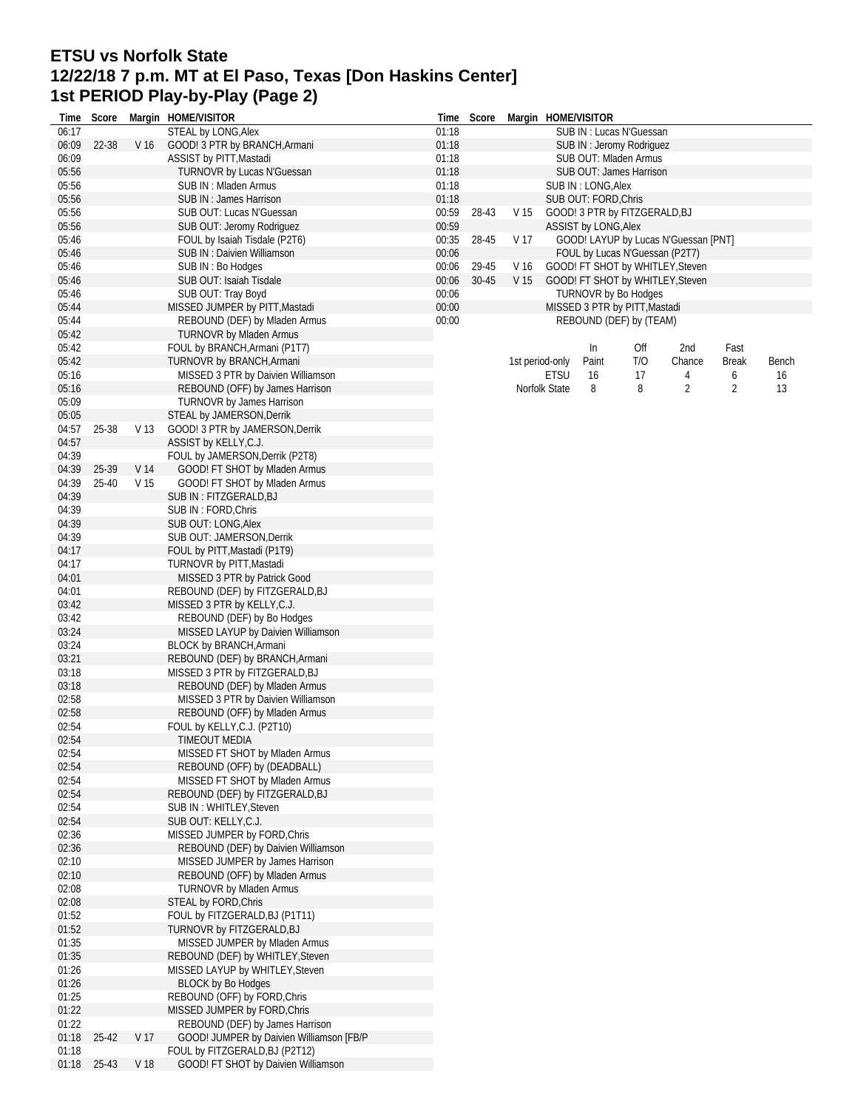# **ETSU vs Norfolk State 12/22/18 7 p.m. MT at El Paso, Texas [Don Haskins Center] 1st PERIOD Play-by-Play (Page 2)**

| Time           | Score |                 | Margin HOME/VISITOR                                | Time           | Score |                 | Margin HOME/VISITOR |                      |                                |                                      |                |       |
|----------------|-------|-----------------|----------------------------------------------------|----------------|-------|-----------------|---------------------|----------------------|--------------------------------|--------------------------------------|----------------|-------|
| 06:17          |       |                 | STEAL by LONG, Alex                                | 01:18          |       |                 |                     |                      | SUB IN: Lucas N'Guessan        |                                      |                |       |
| 06:09          | 22-38 | V <sub>16</sub> | GOOD! 3 PTR by BRANCH, Armani                      | 01:18          |       |                 |                     |                      | SUB IN: Jeromy Rodriguez       |                                      |                |       |
| 06:09          |       |                 | ASSIST by PITT, Mastadi                            | 01:18          |       |                 |                     |                      | SUB OUT: Mladen Armus          |                                      |                |       |
| 05:56          |       |                 | TURNOVR by Lucas N'Guessan                         | 01:18          |       |                 |                     |                      | SUB OUT: James Harrison        |                                      |                |       |
| 05:56          |       |                 | SUB IN: Mladen Armus                               | 01:18          |       |                 |                     | SUB IN: LONG, Alex   |                                |                                      |                |       |
| 05:56<br>05:56 |       |                 | SUB IN: James Harrison<br>SUB OUT: Lucas N'Guessan | 01:18<br>00:59 | 28-43 | V <sub>15</sub> |                     | SUB OUT: FORD, Chris |                                |                                      |                |       |
| 05:56          |       |                 | SUB OUT: Jeromy Rodriguez                          | 00:59          |       |                 |                     | ASSIST by LONG, Alex | GOOD! 3 PTR by FITZGERALD, BJ  |                                      |                |       |
| 05:46          |       |                 | FOUL by Isaiah Tisdale (P2T6)                      | 00:35          | 28-45 | V 17            |                     |                      |                                | GOOD! LAYUP by Lucas N'Guessan [PNT] |                |       |
| 05:46          |       |                 | SUB IN : Daivien Williamson                        | 00:06          |       |                 |                     |                      | FOUL by Lucas N'Guessan (P2T7) |                                      |                |       |
| 05:46          |       |                 | SUB IN: Bo Hodges                                  | 00:06          | 29-45 | V 16            |                     |                      |                                | GOOD! FT SHOT by WHITLEY, Steven     |                |       |
| 05:46          |       |                 | SUB OUT: Isaiah Tisdale                            | 00:06          | 30-45 | V 15            |                     |                      |                                | GOOD! FT SHOT by WHITLEY, Steven     |                |       |
| 05:46          |       |                 | SUB OUT: Tray Boyd                                 | 00:06          |       |                 |                     |                      | <b>TURNOVR by Bo Hodges</b>    |                                      |                |       |
| 05:44          |       |                 | MISSED JUMPER by PITT, Mastadi                     | 00:00          |       |                 |                     |                      | MISSED 3 PTR by PITT, Mastadi  |                                      |                |       |
| 05:44          |       |                 | REBOUND (DEF) by Mladen Armus                      | 00:00          |       |                 |                     |                      | REBOUND (DEF) by (TEAM)        |                                      |                |       |
| 05:42          |       |                 | <b>TURNOVR by Mladen Armus</b>                     |                |       |                 |                     |                      |                                |                                      |                |       |
| 05:42          |       |                 | FOUL by BRANCH, Armani (P1T7)                      |                |       |                 |                     | In                   | Off                            | 2nd                                  | Fast           |       |
| 05:42          |       |                 | TURNOVR by BRANCH, Armani                          |                |       |                 | 1st period-only     | Paint                | T/O                            | Chance                               | Break          | Bench |
| 05:16          |       |                 | MISSED 3 PTR by Daivien Williamson                 |                |       |                 | <b>ETSU</b>         | 16                   | 17                             | 4                                    | 6              | 16    |
| 05:16          |       |                 | REBOUND (OFF) by James Harrison                    |                |       |                 | Norfolk State       | 8                    | 8                              | $\overline{2}$                       | $\overline{2}$ | 13    |
| 05:09          |       |                 | <b>TURNOVR by James Harrison</b>                   |                |       |                 |                     |                      |                                |                                      |                |       |
| 05:05          |       |                 | STEAL by JAMERSON, Derrik                          |                |       |                 |                     |                      |                                |                                      |                |       |
| 04:57          | 25-38 | V 13            | GOOD! 3 PTR by JAMERSON, Derrik                    |                |       |                 |                     |                      |                                |                                      |                |       |
| 04:57          |       |                 | ASSIST by KELLY, C.J.                              |                |       |                 |                     |                      |                                |                                      |                |       |
| 04:39          |       |                 | FOUL by JAMERSON, Derrik (P2T8)                    |                |       |                 |                     |                      |                                |                                      |                |       |
| 04:39          | 25-39 | V 14            | GOOD! FT SHOT by Mladen Armus                      |                |       |                 |                     |                      |                                |                                      |                |       |
| 04:39          | 25-40 | V 15            | GOOD! FT SHOT by Mladen Armus                      |                |       |                 |                     |                      |                                |                                      |                |       |
| 04:39          |       |                 | SUB IN : FITZGERALD,BJ                             |                |       |                 |                     |                      |                                |                                      |                |       |
| 04:39          |       |                 | SUB IN: FORD, Chris                                |                |       |                 |                     |                      |                                |                                      |                |       |
| 04:39          |       |                 | SUB OUT: LONG, Alex                                |                |       |                 |                     |                      |                                |                                      |                |       |
| 04:39          |       |                 | SUB OUT: JAMERSON, Derrik                          |                |       |                 |                     |                      |                                |                                      |                |       |
| 04:17          |       |                 | FOUL by PITT, Mastadi (P1T9)                       |                |       |                 |                     |                      |                                |                                      |                |       |
| 04:17          |       |                 | TURNOVR by PITT, Mastadi                           |                |       |                 |                     |                      |                                |                                      |                |       |
| 04:01          |       |                 | MISSED 3 PTR by Patrick Good                       |                |       |                 |                     |                      |                                |                                      |                |       |
| 04:01          |       |                 | REBOUND (DEF) by FITZGERALD, BJ                    |                |       |                 |                     |                      |                                |                                      |                |       |
| 03:42          |       |                 | MISSED 3 PTR by KELLY, C.J.                        |                |       |                 |                     |                      |                                |                                      |                |       |
| 03:42          |       |                 | REBOUND (DEF) by Bo Hodges                         |                |       |                 |                     |                      |                                |                                      |                |       |
| 03:24          |       |                 | MISSED LAYUP by Daivien Williamson                 |                |       |                 |                     |                      |                                |                                      |                |       |
| 03:24          |       |                 | <b>BLOCK by BRANCH, Armani</b>                     |                |       |                 |                     |                      |                                |                                      |                |       |
| 03:21          |       |                 | REBOUND (DEF) by BRANCH, Armani                    |                |       |                 |                     |                      |                                |                                      |                |       |
| 03:18          |       |                 | MISSED 3 PTR by FITZGERALD, BJ                     |                |       |                 |                     |                      |                                |                                      |                |       |
| 03:18          |       |                 | REBOUND (DEF) by Mladen Armus                      |                |       |                 |                     |                      |                                |                                      |                |       |
| 02:58          |       |                 | MISSED 3 PTR by Daivien Williamson                 |                |       |                 |                     |                      |                                |                                      |                |       |
| 02:58<br>02:54 |       |                 | REBOUND (OFF) by Mladen Armus                      |                |       |                 |                     |                      |                                |                                      |                |       |
| 02:54          |       |                 | FOUL by KELLY, C.J. (P2T10)<br>TIMEOUT MEDIA       |                |       |                 |                     |                      |                                |                                      |                |       |
| 02:54          |       |                 | MISSED FT SHOT by Mladen Armus                     |                |       |                 |                     |                      |                                |                                      |                |       |
| 02:54          |       |                 | REBOUND (OFF) by (DEADBALL)                        |                |       |                 |                     |                      |                                |                                      |                |       |
| 02:54          |       |                 | MISSED FT SHOT by Mladen Armus                     |                |       |                 |                     |                      |                                |                                      |                |       |
| 02:54          |       |                 | REBOUND (DEF) by FITZGERALD, BJ                    |                |       |                 |                     |                      |                                |                                      |                |       |
| 02:54          |       |                 | SUB IN: WHITLEY, Steven                            |                |       |                 |                     |                      |                                |                                      |                |       |
| 02:54          |       |                 | SUB OUT: KELLY,C.J.                                |                |       |                 |                     |                      |                                |                                      |                |       |
| 02:36          |       |                 | MISSED JUMPER by FORD, Chris                       |                |       |                 |                     |                      |                                |                                      |                |       |
| 02:36          |       |                 | REBOUND (DEF) by Daivien Williamson                |                |       |                 |                     |                      |                                |                                      |                |       |
| 02:10          |       |                 | MISSED JUMPER by James Harrison                    |                |       |                 |                     |                      |                                |                                      |                |       |
| 02:10          |       |                 | REBOUND (OFF) by Mladen Armus                      |                |       |                 |                     |                      |                                |                                      |                |       |
| 02:08          |       |                 | <b>TURNOVR by Mladen Armus</b>                     |                |       |                 |                     |                      |                                |                                      |                |       |
| 02:08          |       |                 | <b>STEAL by FORD, Chris</b>                        |                |       |                 |                     |                      |                                |                                      |                |       |
| 01:52          |       |                 | FOUL by FITZGERALD, BJ (P1T11)                     |                |       |                 |                     |                      |                                |                                      |                |       |
| 01:52          |       |                 | TURNOVR by FITZGERALD, BJ                          |                |       |                 |                     |                      |                                |                                      |                |       |
| 01:35          |       |                 | MISSED JUMPER by Mladen Armus                      |                |       |                 |                     |                      |                                |                                      |                |       |
| 01:35          |       |                 | REBOUND (DEF) by WHITLEY, Steven                   |                |       |                 |                     |                      |                                |                                      |                |       |
| 01:26          |       |                 | MISSED LAYUP by WHITLEY, Steven                    |                |       |                 |                     |                      |                                |                                      |                |       |
| 01:26          |       |                 | <b>BLOCK by Bo Hodges</b>                          |                |       |                 |                     |                      |                                |                                      |                |       |
| 01:25          |       |                 | REBOUND (OFF) by FORD, Chris                       |                |       |                 |                     |                      |                                |                                      |                |       |
| 01:22          |       |                 | MISSED JUMPER by FORD, Chris                       |                |       |                 |                     |                      |                                |                                      |                |       |
| 01:22          |       |                 | REBOUND (DEF) by James Harrison                    |                |       |                 |                     |                      |                                |                                      |                |       |
| 01:18          | 25-42 | V 17            | GOOD! JUMPER by Daivien Williamson [FB/P           |                |       |                 |                     |                      |                                |                                      |                |       |
| 01:18          |       |                 | FOUL by FITZGERALD, BJ (P2T12)                     |                |       |                 |                     |                      |                                |                                      |                |       |
| 01:18          | 25-43 | V 18            | GOOD! FT SHOT by Daivien Williamson                |                |       |                 |                     |                      |                                |                                      |                |       |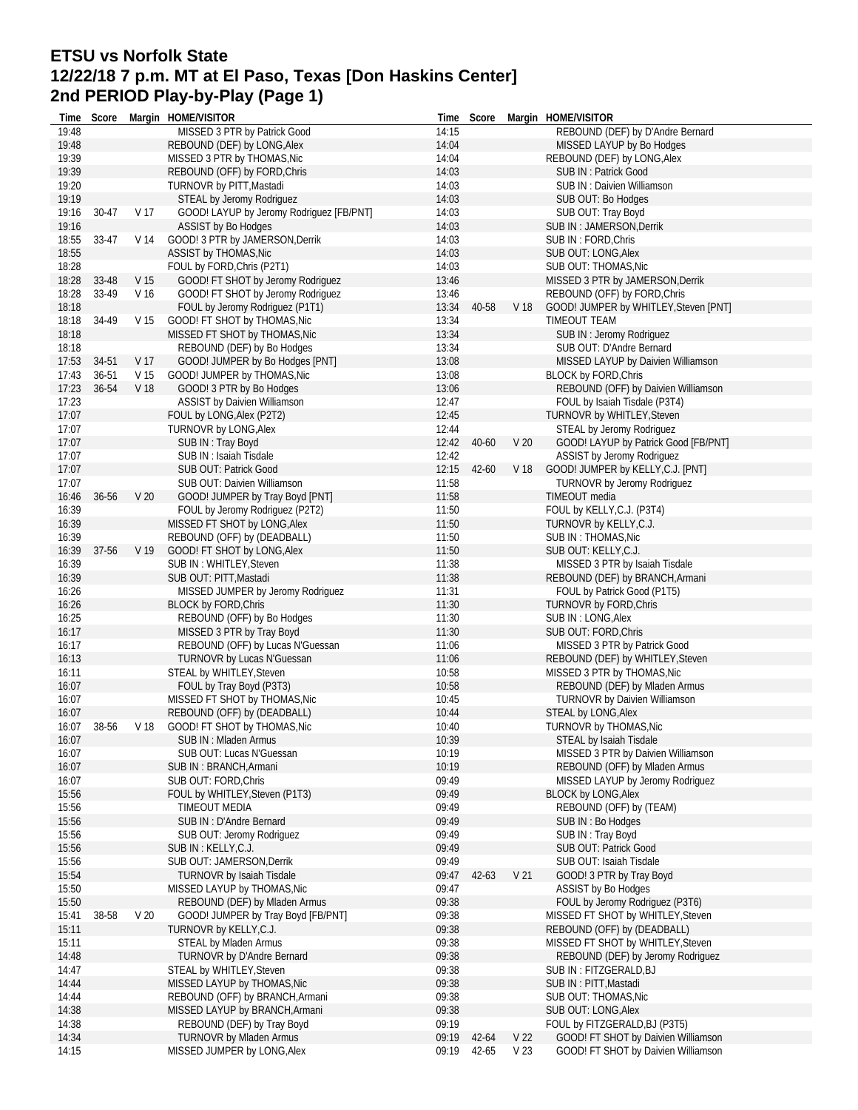## **ETSU vs Norfolk State 12/22/18 7 p.m. MT at El Paso, Texas [Don Haskins Center] 2nd PERIOD Play-by-Play (Page 1)**

|                | Time Score |                 | Margin HOME/VISITOR                                     |                | Time Score |                 | Margin HOME/VISITOR                                    |
|----------------|------------|-----------------|---------------------------------------------------------|----------------|------------|-----------------|--------------------------------------------------------|
| 19:48          |            |                 | MISSED 3 PTR by Patrick Good                            | 14:15          |            |                 | REBOUND (DEF) by D'Andre Bernard                       |
| 19:48          |            |                 | REBOUND (DEF) by LONG, Alex                             | 14:04          |            |                 | MISSED LAYUP by Bo Hodges                              |
| 19:39          |            |                 | MISSED 3 PTR by THOMAS, Nic                             | 14:04          |            |                 | REBOUND (DEF) by LONG, Alex                            |
| 19:39          |            |                 | REBOUND (OFF) by FORD, Chris                            | 14:03          |            |                 | SUB IN: Patrick Good                                   |
| 19:20          |            |                 | TURNOVR by PITT, Mastadi                                | 14:03          |            |                 | SUB IN: Daivien Williamson                             |
| 19:19          |            |                 | STEAL by Jeromy Rodriguez                               | 14:03          |            |                 | SUB OUT: Bo Hodges                                     |
| 19:16<br>19:16 | 30-47      | V 17            | GOOD! LAYUP by Jeromy Rodriguez [FB/PNT]                | 14:03<br>14:03 |            |                 | SUB OUT: Tray Boyd<br>SUB IN: JAMERSON, Derrik         |
| 18:55          | 33-47      | V 14            | ASSIST by Bo Hodges<br>GOOD! 3 PTR by JAMERSON, Derrik  | 14:03          |            |                 | SUB IN : FORD, Chris                                   |
| 18:55          |            |                 | ASSIST by THOMAS, Nic                                   | 14:03          |            |                 | SUB OUT: LONG, Alex                                    |
| 18:28          |            |                 | FOUL by FORD, Chris (P2T1)                              | 14:03          |            |                 | SUB OUT: THOMAS, Nic                                   |
| 18:28          | 33-48      | V <sub>15</sub> | GOOD! FT SHOT by Jeromy Rodriguez                       | 13:46          |            |                 | MISSED 3 PTR by JAMERSON, Derrik                       |
| 18:28          | 33-49      | V <sub>16</sub> | GOOD! FT SHOT by Jeromy Rodriguez                       | 13:46          |            |                 | REBOUND (OFF) by FORD, Chris                           |
| 18:18          |            |                 | FOUL by Jeromy Rodriguez (P1T1)                         | 13:34          | 40-58      | V <sub>18</sub> | GOOD! JUMPER by WHITLEY, Steven [PNT]                  |
| 18:18          | 34-49      | V 15            | GOOD! FT SHOT by THOMAS, Nic                            | 13:34          |            |                 | TIMEOUT TEAM                                           |
| 18:18          |            |                 | MISSED FT SHOT by THOMAS, Nic                           | 13:34          |            |                 | SUB IN: Jeromy Rodriguez                               |
| 18:18          |            |                 | REBOUND (DEF) by Bo Hodges                              | 13:34          |            |                 | SUB OUT: D'Andre Bernard                               |
| 17:53          | 34-51      | V 17            | GOOD! JUMPER by Bo Hodges [PNT]                         | 13:08          |            |                 | MISSED LAYUP by Daivien Williamson                     |
| 17:43          | 36-51      | V 15            | GOOD! JUMPER by THOMAS, Nic                             | 13:08          |            |                 | <b>BLOCK by FORD, Chris</b>                            |
| 17:23          | 36-54      | V 18            | GOOD! 3 PTR by Bo Hodges                                | 13:06          |            |                 | REBOUND (OFF) by Daivien Williamson                    |
| 17:23          |            |                 | ASSIST by Daivien Williamson                            | 12:47          |            |                 | FOUL by Isaiah Tisdale (P3T4)                          |
| 17:07          |            |                 | FOUL by LONG, Alex (P2T2)                               | 12:45          |            |                 | TURNOVR by WHITLEY, Steven                             |
| 17:07          |            |                 | TURNOVR by LONG, Alex                                   | 12:44          |            |                 | STEAL by Jeromy Rodriguez                              |
| 17:07          |            |                 | SUB IN: Tray Boyd                                       | 12:42          | 40-60      | V <sub>20</sub> | GOOD! LAYUP by Patrick Good [FB/PNT]                   |
| 17:07          |            |                 | SUB IN: Isaiah Tisdale                                  | 12:42          |            |                 | ASSIST by Jeromy Rodriguez                             |
| 17:07          |            |                 | SUB OUT: Patrick Good                                   | 12:15          | $42 - 60$  | V 18            | GOOD! JUMPER by KELLY, C.J. [PNT]                      |
| 17:07          |            |                 | SUB OUT: Daivien Williamson                             | 11:58          |            |                 | TURNOVR by Jeromy Rodriguez                            |
| 16:46          | 36-56      | V <sub>20</sub> | GOOD! JUMPER by Tray Boyd [PNT]                         | 11:58          |            |                 | TIMEOUT media                                          |
| 16:39          |            |                 | FOUL by Jeromy Rodriguez (P2T2)                         | 11:50          |            |                 | FOUL by KELLY, C.J. (P3T4)                             |
| 16:39          |            |                 | MISSED FT SHOT by LONG, Alex                            | 11:50          |            |                 | TURNOVR by KELLY, C.J.                                 |
| 16:39<br>16:39 | 37-56      | V 19            | REBOUND (OFF) by (DEADBALL)                             | 11:50<br>11:50 |            |                 | SUB IN: THOMAS, Nic                                    |
| 16:39          |            |                 | GOOD! FT SHOT by LONG, Alex<br>SUB IN : WHITLEY, Steven | 11:38          |            |                 | SUB OUT: KELLY, C.J.<br>MISSED 3 PTR by Isaiah Tisdale |
| 16:39          |            |                 | SUB OUT: PITT, Mastadi                                  | 11:38          |            |                 | REBOUND (DEF) by BRANCH, Armani                        |
| 16:26          |            |                 | MISSED JUMPER by Jeromy Rodriguez                       | 11:31          |            |                 | FOUL by Patrick Good (P1T5)                            |
| 16:26          |            |                 | <b>BLOCK by FORD, Chris</b>                             | 11:30          |            |                 | TURNOVR by FORD, Chris                                 |
| 16:25          |            |                 | REBOUND (OFF) by Bo Hodges                              | 11:30          |            |                 | SUB IN: LONG, Alex                                     |
| 16:17          |            |                 | MISSED 3 PTR by Tray Boyd                               | 11:30          |            |                 | SUB OUT: FORD, Chris                                   |
| 16:17          |            |                 | REBOUND (OFF) by Lucas N'Guessan                        | 11:06          |            |                 | MISSED 3 PTR by Patrick Good                           |
| 16:13          |            |                 | TURNOVR by Lucas N'Guessan                              | 11:06          |            |                 | REBOUND (DEF) by WHITLEY, Steven                       |
| 16:11          |            |                 | STEAL by WHITLEY, Steven                                | 10:58          |            |                 | MISSED 3 PTR by THOMAS, Nic                            |
| 16:07          |            |                 | FOUL by Tray Boyd (P3T3)                                | 10:58          |            |                 | REBOUND (DEF) by Mladen Armus                          |
| 16:07          |            |                 | MISSED FT SHOT by THOMAS, Nic                           | 10:45          |            |                 | TURNOVR by Daivien Williamson                          |
| 16:07          |            |                 | REBOUND (OFF) by (DEADBALL)                             | 10:44          |            |                 | STEAL by LONG, Alex                                    |
| 16:07          | 38-56      | V 18            | GOOD! FT SHOT by THOMAS, Nic                            | 10:40          |            |                 | TURNOVR by THOMAS, Nic                                 |
| 16:07          |            |                 | SUB IN: Mladen Armus                                    | 10:39          |            |                 | STEAL by Isaiah Tisdale                                |
| 16:07          |            |                 | SUB OUT: Lucas N'Guessan                                | 10:19          |            |                 | MISSED 3 PTR by Daivien Williamson                     |
| 16:07          |            |                 | SUB IN: BRANCH, Armani                                  | 10:19          |            |                 | REBOUND (OFF) by Mladen Armus                          |
| 16:07          |            |                 | SUB OUT: FORD, Chris                                    | 09:49          |            |                 | MISSED LAYUP by Jeromy Rodriguez                       |
| 15:56<br>15:56 |            |                 | FOUL by WHITLEY, Steven (P1T3)<br>TIMEOUT MEDIA         | 09:49<br>09:49 |            |                 | <b>BLOCK by LONG, Alex</b><br>REBOUND (OFF) by (TEAM)  |
|                |            |                 |                                                         | 09:49          |            |                 |                                                        |
| 15:56<br>15:56 |            |                 | SUB IN: D'Andre Bernard<br>SUB OUT: Jeromy Rodriguez    | 09:49          |            |                 | SUB IN : Bo Hodges<br>SUB IN: Tray Boyd                |
| 15:56          |            |                 | SUB IN : KELLY, C.J.                                    | 09:49          |            |                 | <b>SUB OUT: Patrick Good</b>                           |
| 15:56          |            |                 | SUB OUT: JAMERSON, Derrik                               | 09:49          |            |                 | SUB OUT: Isaiah Tisdale                                |
| 15:54          |            |                 | <b>TURNOVR by Isaiah Tisdale</b>                        | 09:47          | 42-63      | V <sub>21</sub> | GOOD! 3 PTR by Tray Boyd                               |
| 15:50          |            |                 | MISSED LAYUP by THOMAS, Nic                             | 09:47          |            |                 | <b>ASSIST by Bo Hodges</b>                             |
| 15:50          |            |                 | REBOUND (DEF) by Mladen Armus                           | 09:38          |            |                 | FOUL by Jeromy Rodriguez (P3T6)                        |
| 15:41          | 38-58      | V <sub>20</sub> | GOOD! JUMPER by Tray Boyd [FB/PNT]                      | 09:38          |            |                 | MISSED FT SHOT by WHITLEY, Steven                      |
| 15:11          |            |                 | TURNOVR by KELLY, C.J.                                  | 09:38          |            |                 | REBOUND (OFF) by (DEADBALL)                            |
| 15:11          |            |                 | <b>STEAL by Mladen Armus</b>                            | 09:38          |            |                 | MISSED FT SHOT by WHITLEY, Steven                      |
| 14:48          |            |                 | TURNOVR by D'Andre Bernard                              | 09:38          |            |                 | REBOUND (DEF) by Jeromy Rodriguez                      |
| 14:47          |            |                 | STEAL by WHITLEY, Steven                                | 09:38          |            |                 | SUB IN : FITZGERALD, BJ                                |
| 14:44          |            |                 | MISSED LAYUP by THOMAS, Nic                             | 09:38          |            |                 | SUB IN: PITT, Mastadi                                  |
| 14:44          |            |                 | REBOUND (OFF) by BRANCH, Armani                         | 09:38          |            |                 | SUB OUT: THOMAS, Nic                                   |
| 14:38          |            |                 | MISSED LAYUP by BRANCH, Armani                          | 09:38          |            |                 | SUB OUT: LONG, Alex                                    |
| 14:38          |            |                 | REBOUND (DEF) by Tray Boyd                              | 09:19          |            |                 | FOUL by FITZGERALD, BJ (P3T5)                          |
| 14:34          |            |                 | <b>TURNOVR by Mladen Armus</b>                          | 09:19          | 42-64      | V <sub>22</sub> | GOOD! FT SHOT by Daivien Williamson                    |
| 14:15          |            |                 | MISSED JUMPER by LONG, Alex                             | 09:19          | 42-65      | V <sub>23</sub> | GOOD! FT SHOT by Daivien Williamson                    |